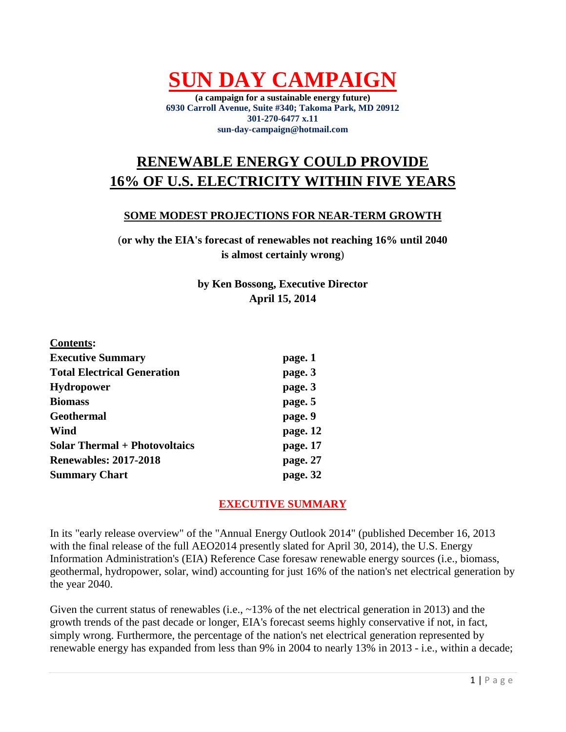**SUN DAY CAMPAIGN**

**(a campaign for a sustainable energy future) 6930 Carroll Avenue, Suite #340; Takoma Park, MD 20912 301-270-6477 x.11 sun-day-campaign@hotmail.com**

# **RENEWABLE ENERGY COULD PROVIDE 16% OF U.S. ELECTRICITY WITHIN FIVE YEARS**

### **SOME MODEST PROJECTIONS FOR NEAR-TERM GROWTH**

(**or why the EIA's forecast of renewables not reaching 16% until 2040 is almost certainly wrong**)

> **by Ken Bossong, Executive Director April 15, 2014**

| <b>Contents:</b>                     |          |
|--------------------------------------|----------|
| <b>Executive Summary</b>             | page. 1  |
| <b>Total Electrical Generation</b>   | page. 3  |
| <b>Hydropower</b>                    | page. 3  |
| <b>Biomass</b>                       | page. 5  |
| <b>Geothermal</b>                    | page. 9  |
| Wind                                 | page. 12 |
| <b>Solar Thermal + Photovoltaics</b> | page. 17 |
| <b>Renewables: 2017-2018</b>         | page. 27 |
| <b>Summary Chart</b>                 | page. 32 |

# **EXECUTIVE SUMMARY**

In its "early release overview" of the "Annual Energy Outlook 2014" (published December 16, 2013 with the final release of the full AEO2014 presently slated for April 30, 2014), the U.S. Energy Information Administration's (EIA) Reference Case foresaw renewable energy sources (i.e., biomass, geothermal, hydropower, solar, wind) accounting for just 16% of the nation's net electrical generation by the year 2040.

Given the current status of renewables (i.e., ~13% of the net electrical generation in 2013) and the growth trends of the past decade or longer, EIA's forecast seems highly conservative if not, in fact, simply wrong. Furthermore, the percentage of the nation's net electrical generation represented by renewable energy has expanded from less than 9% in 2004 to nearly 13% in 2013 - i.e., within a decade;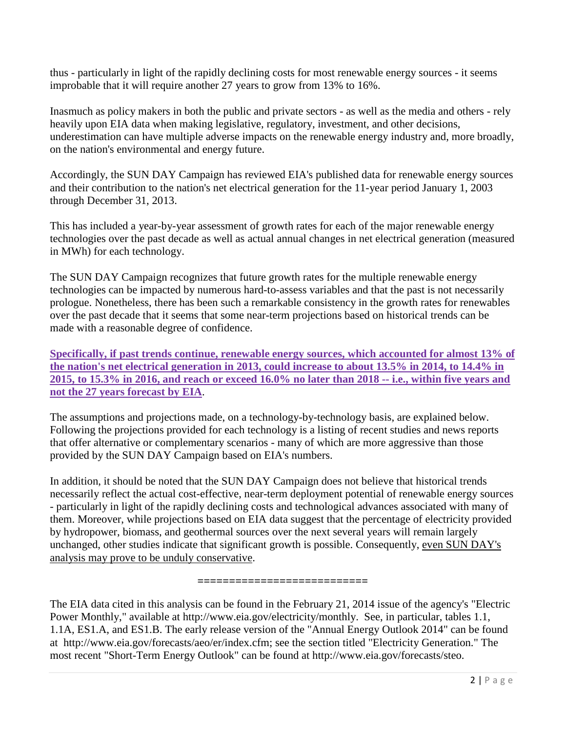thus - particularly in light of the rapidly declining costs for most renewable energy sources - it seems improbable that it will require another 27 years to grow from 13% to 16%.

Inasmuch as policy makers in both the public and private sectors - as well as the media and others - rely heavily upon EIA data when making legislative, regulatory, investment, and other decisions, underestimation can have multiple adverse impacts on the renewable energy industry and, more broadly, on the nation's environmental and energy future.

Accordingly, the SUN DAY Campaign has reviewed EIA's published data for renewable energy sources and their contribution to the nation's net electrical generation for the 11-year period January 1, 2003 through December 31, 2013.

This has included a year-by-year assessment of growth rates for each of the major renewable energy technologies over the past decade as well as actual annual changes in net electrical generation (measured in MWh) for each technology.

The SUN DAY Campaign recognizes that future growth rates for the multiple renewable energy technologies can be impacted by numerous hard-to-assess variables and that the past is not necessarily prologue. Nonetheless, there has been such a remarkable consistency in the growth rates for renewables over the past decade that it seems that some near-term projections based on historical trends can be made with a reasonable degree of confidence.

**Specifically, if past trends continue, renewable energy sources, which accounted for almost 13% of the nation's net electrical generation in 2013, could increase to about 13.5% in 2014, to 14.4% in 2015, to 15.3% in 2016, and reach or exceed 16.0% no later than 2018 -- i.e., within five years and not the 27 years forecast by EIA**.

The assumptions and projections made, on a technology-by-technology basis, are explained below. Following the projections provided for each technology is a listing of recent studies and news reports that offer alternative or complementary scenarios - many of which are more aggressive than those provided by the SUN DAY Campaign based on EIA's numbers.

In addition, it should be noted that the SUN DAY Campaign does not believe that historical trends necessarily reflect the actual cost-effective, near-term deployment potential of renewable energy sources - particularly in light of the rapidly declining costs and technological advances associated with many of them. Moreover, while projections based on EIA data suggest that the percentage of electricity provided by hydropower, biomass, and geothermal sources over the next several years will remain largely unchanged, other studies indicate that significant growth is possible. Consequently, even SUN DAY's analysis may prove to be unduly conservative.

**===========================**

The EIA data cited in this analysis can be found in the February 21, 2014 issue of the agency's "Electric Power Monthly," available at http://www.eia.gov/electricity/monthly. See, in particular, tables 1.1, 1.1A, ES1.A, and ES1.B. The early release version of the "Annual Energy Outlook 2014" can be found at http://www.eia.gov/forecasts/aeo/er/index.cfm; see the section titled "Electricity Generation." The most recent "Short-Term Energy Outlook" can be found at http://www.eia.gov/forecasts/steo.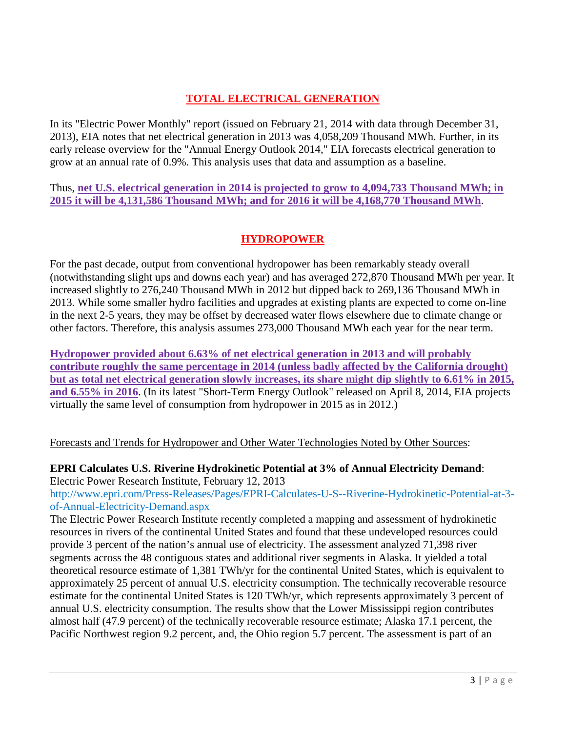# **TOTAL ELECTRICAL GENERATION**

In its "Electric Power Monthly" report (issued on February 21, 2014 with data through December 31, 2013), EIA notes that net electrical generation in 2013 was 4,058,209 Thousand MWh. Further, in its early release overview for the "Annual Energy Outlook 2014," EIA forecasts electrical generation to grow at an annual rate of 0.9%. This analysis uses that data and assumption as a baseline.

Thus, **net U.S. electrical generation in 2014 is projected to grow to 4,094,733 Thousand MWh; in 2015 it will be 4,131,586 Thousand MWh; and for 2016 it will be 4,168,770 Thousand MWh**.

# **HYDROPOWER**

For the past decade, output from conventional hydropower has been remarkably steady overall (notwithstanding slight ups and downs each year) and has averaged 272,870 Thousand MWh per year. It increased slightly to 276,240 Thousand MWh in 2012 but dipped back to 269,136 Thousand MWh in 2013. While some smaller hydro facilities and upgrades at existing plants are expected to come on-line in the next 2-5 years, they may be offset by decreased water flows elsewhere due to climate change or other factors. Therefore, this analysis assumes 273,000 Thousand MWh each year for the near term.

**Hydropower provided about 6.63% of net electrical generation in 2013 and will probably contribute roughly the same percentage in 2014 (unless badly affected by the California drought) but as total net electrical generation slowly increases, its share might dip slightly to 6.61% in 2015, and 6.55% in 2016**. (In its latest "Short-Term Energy Outlook" released on April 8, 2014, EIA projects virtually the same level of consumption from hydropower in 2015 as in 2012.)

Forecasts and Trends for Hydropower and Other Water Technologies Noted by Other Sources:

### **EPRI Calculates U.S. Riverine Hydrokinetic Potential at 3% of Annual Electricity Demand**: Electric Power Research Institute, February 12, 2013

[http://www.epri.com/Press-Releases/Pages/EPRI-Calculates-U-S--Riverine-Hydrokinetic-Potential-at-3](http://www.epri.com/Press-Releases/Pages/EPRI-Calculates-U-S--Riverine-Hydrokinetic-Potential-at-3-of-Annual-Electricity-Demand.aspx) [of-Annual-Electricity-Demand.aspx](http://www.epri.com/Press-Releases/Pages/EPRI-Calculates-U-S--Riverine-Hydrokinetic-Potential-at-3-of-Annual-Electricity-Demand.aspx)

The Electric Power Research Institute recently completed a mapping and assessment of hydrokinetic resources in rivers of the continental United States and found that these undeveloped resources could provide 3 percent of the nation's annual use of electricity. The assessment analyzed 71,398 river segments across the 48 contiguous states and additional river segments in Alaska. It yielded a total theoretical resource estimate of 1,381 TWh/yr for the continental United States, which is equivalent to approximately 25 percent of annual U.S. electricity consumption. The technically recoverable resource estimate for the continental United States is 120 TWh/yr, which represents approximately 3 percent of annual U.S. electricity consumption. The results show that the Lower Mississippi region contributes almost half (47.9 percent) of the technically recoverable resource estimate; Alaska 17.1 percent, the Pacific Northwest region 9.2 percent, and, the Ohio region 5.7 percent. The assessment is part of an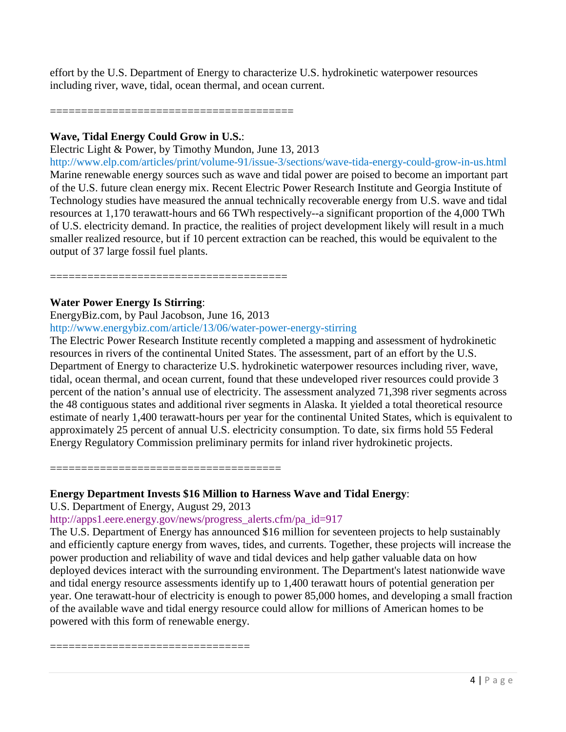effort by the U.S. Department of Energy to characterize U.S. hydrokinetic waterpower resources including river, wave, tidal, ocean thermal, and ocean current.

=======================================

======================================

### **Wave, Tidal Energy Could Grow in U.S.**:

Electric Light & Power, by Timothy Mundon, June 13, 2013

<http://www.elp.com/articles/print/volume-91/issue-3/sections/wave-tida-energy-could-grow-in-us.html> Marine renewable energy sources such as wave and tidal power are poised to become an important part of the U.S. future clean energy mix. Recent Electric Power Research Institute and Georgia Institute of Technology studies have measured the annual technically recoverable energy from U.S. wave and tidal resources at 1,170 terawatt-hours and 66 TWh respectively--a significant proportion of the 4,000 TWh of U.S. electricity demand. In practice, the realities of project development likely will result in a much smaller realized resource, but if 10 percent extraction can be reached, this would be equivalent to the output of 37 large fossil fuel plants.

### **Water Power Energy Is Stirring**:

EnergyBiz.com, by Paul Jacobson, June 16, 2013 <http://www.energybiz.com/article/13/06/water-power-energy-stirring>

The Electric Power Research Institute recently completed a mapping and assessment of hydrokinetic resources in rivers of the continental United States. The assessment, part of an effort by the U.S. Department of Energy to characterize U.S. hydrokinetic waterpower resources including river, wave, tidal, ocean thermal, and ocean current, found that these undeveloped river resources could provide 3 percent of the nation's annual use of electricity. The assessment analyzed 71,398 river segments across the 48 contiguous states and additional river segments in Alaska. It yielded a total theoretical resource estimate of nearly 1,400 terawatt-hours per year for the continental United States, which is equivalent to approximately 25 percent of annual U.S. electricity consumption. To date, six firms hold 55 Federal Energy Regulatory Commission preliminary permits for inland river hydrokinetic projects.

=====================================

### **Energy Department Invests \$16 Million to Harness Wave and Tidal Energy**:

U.S. Department of Energy, August 29, 2013

### [http://apps1.eere.energy.gov/news/progress\\_alerts.cfm/pa\\_id=917](http://apps1.eere.energy.gov/news/progress_alerts.cfm/pa_id=917)

The U.S. Department of Energy has announced \$16 million for seventeen projects to help sustainably and efficiently capture energy from waves, tides, and currents. Together, these projects will increase the power production and reliability of wave and tidal devices and help gather valuable data on how deployed devices interact with the surrounding environment. The Department's latest nationwide wave and tidal energy resource assessments identify up to 1,400 terawatt hours of potential generation per year. One terawatt-hour of electricity is enough to power 85,000 homes, and developing a small fraction of the available wave and tidal energy resource could allow for millions of American homes to be powered with this form of renewable energy.

======================================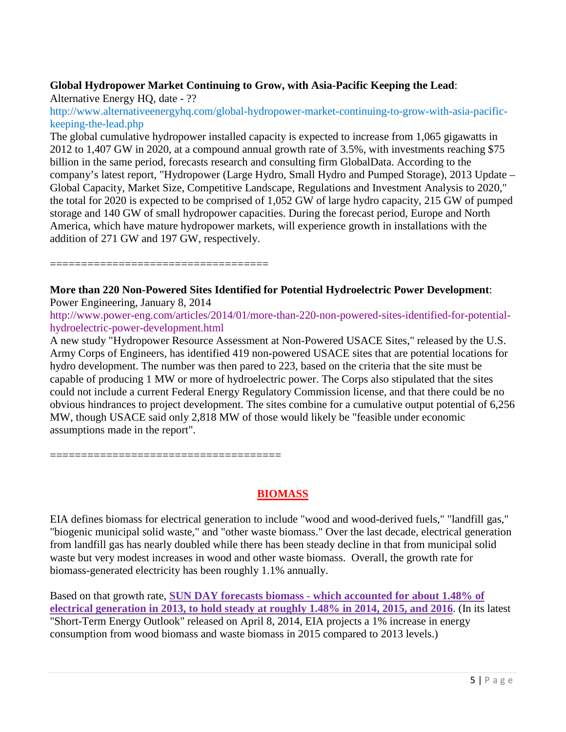# **Global Hydropower Market Continuing to Grow, with Asia-Pacific Keeping the Lead**:

Alternative Energy HQ, date - ??

[http://www.alternativeenergyhq.com/global-hydropower-market-continuing-to-grow-with-asia-pacific](http://www.alternativeenergyhq.com/global-hydropower-market-continuing-to-grow-with-asia-pacific-keeping-the-lead.php)[keeping-the-lead.php](http://www.alternativeenergyhq.com/global-hydropower-market-continuing-to-grow-with-asia-pacific-keeping-the-lead.php)

The global cumulative hydropower installed capacity is expected to increase from 1,065 gigawatts in 2012 to 1,407 GW in 2020, at a compound annual growth rate of 3.5%, with investments reaching \$75 billion in the same period, forecasts research and consulting firm GlobalData. According to the company's latest report, "Hydropower (Large Hydro, Small Hydro and Pumped Storage), 2013 Update – Global Capacity, Market Size, Competitive Landscape, Regulations and Investment Analysis to 2020," the total for 2020 is expected to be comprised of 1,052 GW of large hydro capacity, 215 GW of pumped storage and 140 GW of small hydropower capacities. During the forecast period, Europe and North America, which have mature hydropower markets, will experience growth in installations with the addition of 271 GW and 197 GW, respectively.

===================================

=====================================

**More than 220 Non-Powered Sites Identified for Potential Hydroelectric Power Development**: Power Engineering, January 8, 2014

[http://www.power-eng.com/articles/2014/01/more-than-220-non-powered-sites-identified-for-potential](http://www.power-eng.com/articles/2014/01/more-than-220-non-powered-sites-identified-for-potential-hydroelectric-power-development.html)[hydroelectric-power-development.html](http://www.power-eng.com/articles/2014/01/more-than-220-non-powered-sites-identified-for-potential-hydroelectric-power-development.html)

A new study "Hydropower Resource Assessment at Non-Powered USACE Sites," released by the U.S. Army Corps of Engineers, has identified 419 non-powered USACE sites that are potential locations for hydro development. The number was then pared to 223, based on the criteria that the site must be capable of producing 1 MW or more of hydroelectric power. The Corps also stipulated that the sites could not include a current Federal Energy Regulatory Commission license, and that there could be no obvious hindrances to project development. The sites combine for a cumulative output potential of 6,256 MW, though USACE said only 2,818 MW of those would likely be "feasible under economic assumptions made in the report".

**BIOMASS**

EIA defines biomass for electrical generation to include "wood and wood-derived fuels," "landfill gas," "biogenic municipal solid waste," and "other waste biomass." Over the last decade, electrical generation from landfill gas has nearly doubled while there has been steady decline in that from municipal solid waste but very modest increases in wood and other waste biomass. Overall, the growth rate for biomass-generated electricity has been roughly 1.1% annually.

Based on that growth rate, **SUN DAY forecasts biomass - which accounted for about 1.48% of electrical generation in 2013, to hold steady at roughly 1.48% in 2014, 2015, and 2016**. (In its latest "Short-Term Energy Outlook" released on April 8, 2014, EIA projects a 1% increase in energy consumption from wood biomass and waste biomass in 2015 compared to 2013 levels.)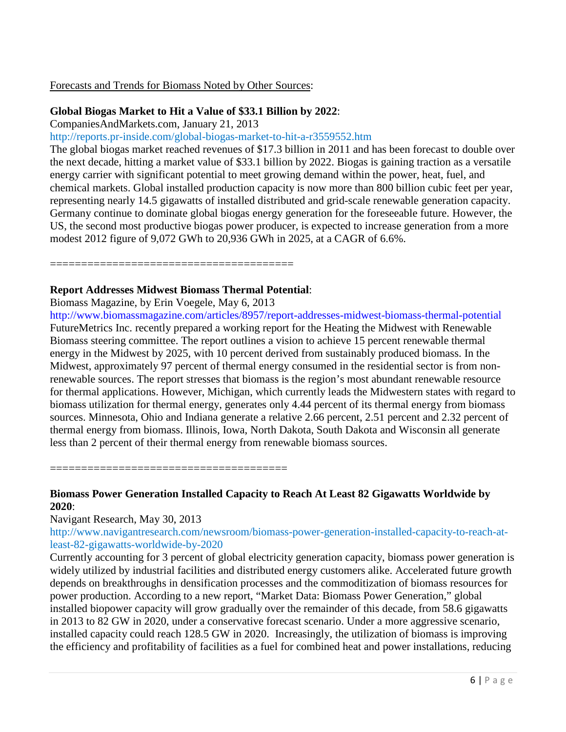### Forecasts and Trends for Biomass Noted by Other Sources:

### **Global Biogas Market to Hit a Value of \$33.1 Billion by 2022**:

CompaniesAndMarkets.com, January 21, 2013

<http://reports.pr-inside.com/global-biogas-market-to-hit-a-r3559552.htm>

The global biogas market reached revenues of \$17.3 billion in 2011 and has been forecast to double over the next decade, hitting a market value of \$33.1 billion by 2022. Biogas is gaining traction as a versatile energy carrier with significant potential to meet growing demand within the power, heat, fuel, and chemical markets. Global installed production capacity is now more than 800 billion cubic feet per year, representing nearly 14.5 gigawatts of installed distributed and grid-scale renewable generation capacity. Germany continue to dominate global biogas energy generation for the foreseeable future. However, the US, the second most productive biogas power producer, is expected to increase generation from a more modest 2012 figure of 9,072 GWh to 20,936 GWh in 2025, at a CAGR of 6.6%.

### **Report Addresses Midwest Biomass Thermal Potential**:

=======================================

Biomass Magazine, by Erin Voegele, May 6, 2013

<http://www.biomassmagazine.com/articles/8957/report-addresses-midwest-biomass-thermal-potential> FutureMetrics Inc. recently prepared a working report for the Heating the Midwest with Renewable Biomass steering committee. The report outlines a vision to achieve 15 percent renewable thermal energy in the Midwest by 2025, with 10 percent derived from sustainably produced biomass. In the Midwest, approximately 97 percent of thermal energy consumed in the residential sector is from nonrenewable sources. The report stresses that biomass is the region's most abundant renewable resource for thermal applications. However, Michigan, which currently leads the Midwestern states with regard to biomass utilization for thermal energy, generates only 4.44 percent of its thermal energy from biomass sources. Minnesota, Ohio and Indiana generate a relative 2.66 percent, 2.51 percent and 2.32 percent of thermal energy from biomass. Illinois, Iowa, North Dakota, South Dakota and Wisconsin all generate less than 2 percent of their thermal energy from renewable biomass sources.

======================================

# **Biomass Power Generation Installed Capacity to Reach At Least 82 Gigawatts Worldwide by 2020**:

Navigant Research, May 30, 2013

[http://www.navigantresearch.com/newsroom/biomass-power-generation-installed-capacity-to-reach-at](http://www.navigantresearch.com/newsroom/biomass-power-generation-installed-capacity-to-reach-at-least-82-gigawatts-worldwide-by-2020)[least-82-gigawatts-worldwide-by-2020](http://www.navigantresearch.com/newsroom/biomass-power-generation-installed-capacity-to-reach-at-least-82-gigawatts-worldwide-by-2020)

Currently accounting for 3 percent of global electricity generation capacity, biomass power generation is widely utilized by industrial facilities and distributed energy customers alike. Accelerated future growth depends on breakthroughs in densification processes and the commoditization of biomass resources for power production. According to a new report, "Market Data: Biomass Power Generation," global installed biopower capacity will grow gradually over the remainder of this decade, from 58.6 gigawatts in 2013 to 82 GW in 2020, under a conservative forecast scenario. Under a more aggressive scenario, installed capacity could reach 128.5 GW in 2020. Increasingly, the utilization of biomass is improving the efficiency and profitability of facilities as a fuel for combined heat and power installations, reducing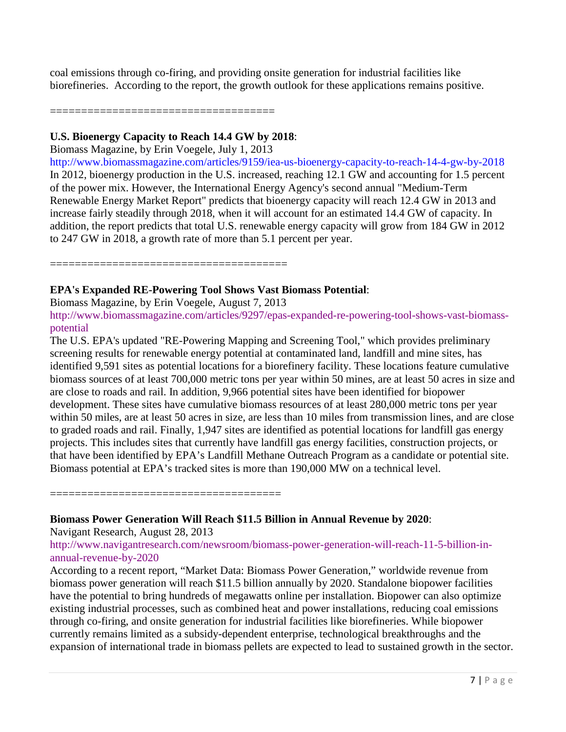coal emissions through co-firing, and providing onsite generation for industrial facilities like biorefineries. According to the report, the growth outlook for these applications remains positive.

====================================

### **U.S. Bioenergy Capacity to Reach 14.4 GW by 2018**:

Biomass Magazine, by Erin Voegele, July 1, 2013

<http://www.biomassmagazine.com/articles/9159/iea-us-bioenergy-capacity-to-reach-14-4-gw-by-2018> In 2012, bioenergy production in the U.S. increased, reaching 12.1 GW and accounting for 1.5 percent of the power mix. However, the International Energy Agency's second annual "Medium-Term Renewable Energy Market Report" predicts that bioenergy capacity will reach 12.4 GW in 2013 and increase fairly steadily through 2018, when it will account for an estimated 14.4 GW of capacity. In addition, the report predicts that total U.S. renewable energy capacity will grow from 184 GW in 2012 to 247 GW in 2018, a growth rate of more than 5.1 percent per year.

======================================

### **EPA's Expanded RE-Powering Tool Shows Vast Biomass Potential**:

Biomass Magazine, by Erin Voegele, August 7, 2013

[http://www.biomassmagazine.com/articles/9297/epas-expanded-re-powering-tool-shows-vast-biomass](http://www.biomassmagazine.com/articles/9297/epas-expanded-re-powering-tool-shows-vast-biomass-potential)[potential](http://www.biomassmagazine.com/articles/9297/epas-expanded-re-powering-tool-shows-vast-biomass-potential)

The U.S. EPA's updated "RE-Powering Mapping and Screening Tool," which provides preliminary screening results for renewable energy potential at contaminated land, landfill and mine sites, has identified 9,591 sites as potential locations for a biorefinery facility. These locations feature cumulative biomass sources of at least 700,000 metric tons per year within 50 mines, are at least 50 acres in size and are close to roads and rail. In addition, 9,966 potential sites have been identified for biopower development. These sites have cumulative biomass resources of at least 280,000 metric tons per year within 50 miles, are at least 50 acres in size, are less than 10 miles from transmission lines, and are close to graded roads and rail. Finally, 1,947 sites are identified as potential locations for landfill gas energy projects. This includes sites that currently have landfill gas energy facilities, construction projects, or that have been identified by EPA's Landfill Methane Outreach Program as a candidate or potential site. Biomass potential at EPA's tracked sites is more than 190,000 MW on a technical level.

=====================================

**Biomass Power Generation Will Reach \$11.5 Billion in Annual Revenue by 2020**:

Navigant Research, August 28, 2013

[http://www.navigantresearch.com/newsroom/biomass-power-generation-will-reach-11-5-billion-in](http://www.navigantresearch.com/newsroom/biomass-power-generation-will-reach-11-5-billion-in-annual-revenue-by-2020)[annual-revenue-by-2020](http://www.navigantresearch.com/newsroom/biomass-power-generation-will-reach-11-5-billion-in-annual-revenue-by-2020)

According to a recent report, "Market Data: Biomass Power Generation," worldwide revenue from biomass power generation will reach \$11.5 billion annually by 2020. Standalone biopower facilities have the potential to bring hundreds of megawatts online per installation. Biopower can also optimize existing industrial processes, such as combined heat and power installations, reducing coal emissions through co-firing, and onsite generation for industrial facilities like biorefineries. While biopower currently remains limited as a subsidy-dependent enterprise, technological breakthroughs and the expansion of international trade in biomass pellets are expected to lead to sustained growth in the sector.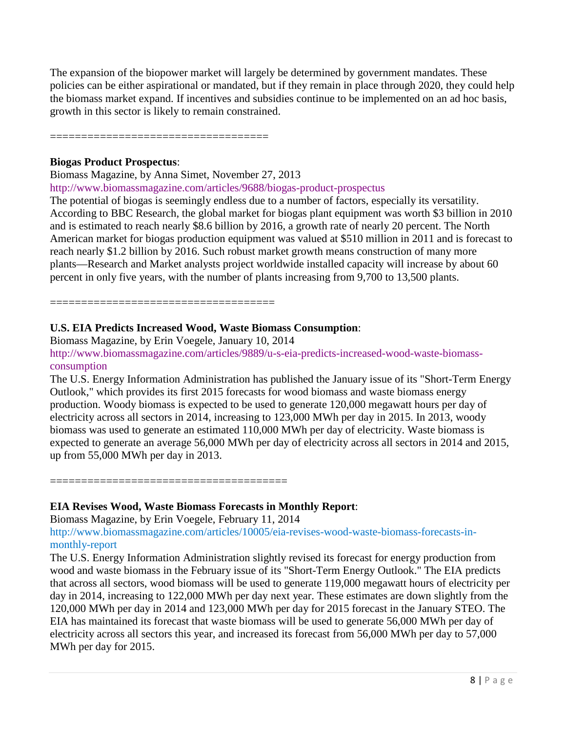The expansion of the biopower market will largely be determined by government mandates. These policies can be either aspirational or mandated, but if they remain in place through 2020, they could help the biomass market expand. If incentives and subsidies continue to be implemented on an ad hoc basis, growth in this sector is likely to remain constrained.

===================================

### **Biogas Product Prospectus**:

Biomass Magazine, by Anna Simet, November 27, 2013

<http://www.biomassmagazine.com/articles/9688/biogas-product-prospectus>

The potential of biogas is seemingly endless due to a number of factors, especially its versatility. According to BBC Research, the global market for biogas plant equipment was worth \$3 billion in 2010 and is estimated to reach nearly \$8.6 billion by 2016, a growth rate of nearly 20 percent. The North American market for biogas production equipment was valued at \$510 million in 2011 and is forecast to reach nearly \$1.2 billion by 2016. Such robust market growth means construction of many more plants—Research and Market analysts project worldwide installed capacity will increase by about 60 percent in only five years, with the number of plants increasing from 9,700 to 13,500 plants.

====================================

# **U.S. EIA Predicts Increased Wood, Waste Biomass Consumption**:

Biomass Magazine, by Erin Voegele, January 10, 2014

[http://www.biomassmagazine.com/articles/9889/u-s-eia-predicts-increased-wood-waste-biomass](http://www.biomassmagazine.com/articles/9889/u-s-eia-predicts-increased-wood-waste-biomass-consumption)[consumption](http://www.biomassmagazine.com/articles/9889/u-s-eia-predicts-increased-wood-waste-biomass-consumption)

The U.S. Energy Information Administration has published the January issue of its "Short-Term Energy Outlook," which provides its first 2015 forecasts for wood biomass and waste biomass energy production. Woody biomass is expected to be used to generate 120,000 megawatt hours per day of electricity across all sectors in 2014, increasing to 123,000 MWh per day in 2015. In 2013, woody biomass was used to generate an estimated 110,000 MWh per day of electricity. Waste biomass is expected to generate an average 56,000 MWh per day of electricity across all sectors in 2014 and 2015, up from 55,000 MWh per day in 2013.

======================================

# **EIA Revises Wood, Waste Biomass Forecasts in Monthly Report**:

Biomass Magazine, by Erin Voegele, February 11, 2014

[http://www.biomassmagazine.com/articles/10005/eia-revises-wood-waste-biomass-forecasts-in](http://www.biomassmagazine.com/articles/10005/eia-revises-wood-waste-biomass-forecasts-in-monthly-report)[monthly-report](http://www.biomassmagazine.com/articles/10005/eia-revises-wood-waste-biomass-forecasts-in-monthly-report)

The U.S. Energy Information Administration slightly revised its forecast for energy production from wood and waste biomass in the February issue of its "Short-Term Energy Outlook." The EIA predicts that across all sectors, wood biomass will be used to generate 119,000 megawatt hours of electricity per day in 2014, increasing to 122,000 MWh per day next year. These estimates are down slightly from the 120,000 MWh per day in 2014 and 123,000 MWh per day for 2015 forecast in the January STEO. The EIA has maintained its forecast that waste biomass will be used to generate 56,000 MWh per day of electricity across all sectors this year, and increased its forecast from 56,000 MWh per day to 57,000 MWh per day for 2015.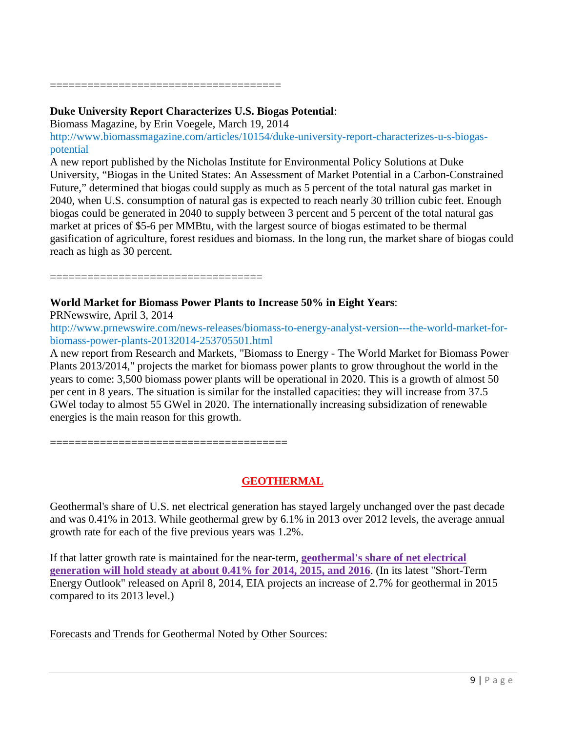=====================================

### **Duke University Report Characterizes U.S. Biogas Potential**:

Biomass Magazine, by Erin Voegele, March 19, 2014

[http://www.biomassmagazine.com/articles/10154/duke-university-report-characterizes-u-s-biogas](http://www.biomassmagazine.com/articles/10154/duke-university-report-characterizes-u-s-biogas-potential)[potential](http://www.biomassmagazine.com/articles/10154/duke-university-report-characterizes-u-s-biogas-potential)

A new report published by the Nicholas Institute for Environmental Policy Solutions at Duke University, "Biogas in the United States: An Assessment of Market Potential in a Carbon-Constrained Future," determined that biogas could supply as much as 5 percent of the total natural gas market in 2040, when U.S. consumption of natural gas is expected to reach nearly 30 trillion cubic feet. Enough biogas could be generated in 2040 to supply between 3 percent and 5 percent of the total natural gas market at prices of \$5-6 per MMBtu, with the largest source of biogas estimated to be thermal gasification of agriculture, forest residues and biomass. In the long run, the market share of biogas could reach as high as 30 percent.

==================================

======================================

# **World Market for Biomass Power Plants to Increase 50% in Eight Years**:

PRNewswire, April 3, 2014

[http://www.prnewswire.com/news-releases/biomass-to-energy-analyst-version---the-world-market-for](http://www.prnewswire.com/news-releases/biomass-to-energy-analyst-version---the-world-market-for-biomass-power-plants-20132014-253705501.html)[biomass-power-plants-20132014-253705501.html](http://www.prnewswire.com/news-releases/biomass-to-energy-analyst-version---the-world-market-for-biomass-power-plants-20132014-253705501.html)

A new report from Research and Markets, "Biomass to Energy - The World Market for Biomass Power Plants 2013/2014," projects the market for biomass power plants to grow throughout the world in the years to come: 3,500 biomass power plants will be operational in 2020. This is a growth of almost 50 per cent in 8 years. The situation is similar for the installed capacities: they will increase from 37.5 GWel today to almost 55 GWel in 2020. The internationally increasing subsidization of renewable energies is the main reason for this growth.

**GEOTHERMAL**

Geothermal's share of U.S. net electrical generation has stayed largely unchanged over the past decade and was 0.41% in 2013. While geothermal grew by 6.1% in 2013 over 2012 levels, the average annual growth rate for each of the five previous years was 1.2%.

If that latter growth rate is maintained for the near-term, **geothermal's share of net electrical generation will hold steady at about 0.41% for 2014, 2015, and 2016**. (In its latest "Short-Term Energy Outlook" released on April 8, 2014, EIA projects an increase of 2.7% for geothermal in 2015 compared to its 2013 level.)

Forecasts and Trends for Geothermal Noted by Other Sources: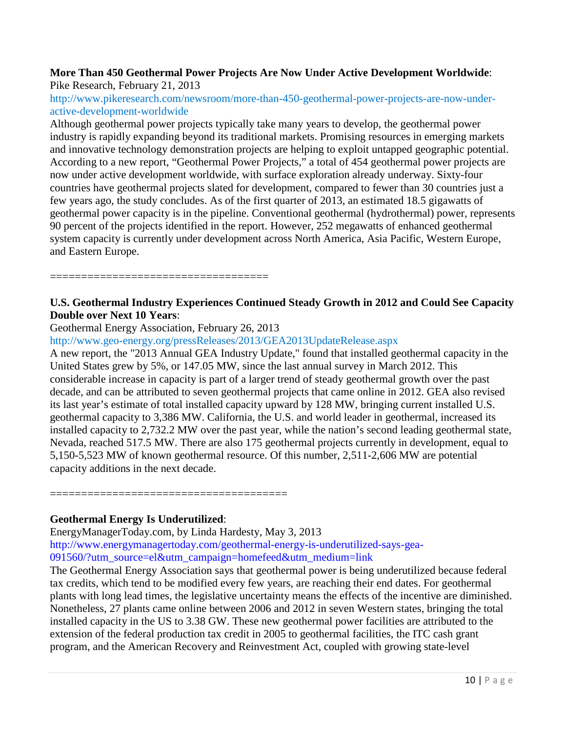### **More Than 450 Geothermal Power Projects Are Now Under Active Development Worldwide**: Pike Research, February 21, 2013

# [http://www.pikeresearch.com/newsroom/more-than-450-geothermal-power-projects-are-now-under](http://www.pikeresearch.com/newsroom/more-than-450-geothermal-power-projects-are-now-under-active-development-worldwide)[active-development-worldwide](http://www.pikeresearch.com/newsroom/more-than-450-geothermal-power-projects-are-now-under-active-development-worldwide)

Although geothermal power projects typically take many years to develop, the geothermal power industry is rapidly expanding beyond its traditional markets. Promising resources in emerging markets and innovative technology demonstration projects are helping to exploit untapped geographic potential. According to a new report, "Geothermal Power Projects," a total of 454 geothermal power projects are now under active development worldwide, with surface exploration already underway. Sixty-four countries have geothermal projects slated for development, compared to fewer than 30 countries just a few years ago, the study concludes. As of the first quarter of 2013, an estimated 18.5 gigawatts of geothermal power capacity is in the pipeline. Conventional geothermal (hydrothermal) power, represents 90 percent of the projects identified in the report. However, 252 megawatts of enhanced geothermal system capacity is currently under development across North America, Asia Pacific, Western Europe, and Eastern Europe.

===================================

# **U.S. Geothermal Industry Experiences Continued Steady Growth in 2012 and Could See Capacity Double over Next 10 Years**:

Geothermal Energy Association, February 26, 2013

<http://www.geo-energy.org/pressReleases/2013/GEA2013UpdateRelease.aspx>

A new report, the "2013 Annual GEA Industry Update," found that installed geothermal capacity in the United States grew by 5%, or 147.05 MW, since the last annual survey in March 2012. This considerable increase in capacity is part of a larger trend of steady geothermal growth over the past decade, and can be attributed to seven geothermal projects that came online in 2012. GEA also revised its last year's estimate of total installed capacity upward by 128 MW, bringing current installed U.S. geothermal capacity to 3,386 MW. California, the U.S. and world leader in geothermal, increased its installed capacity to 2,732.2 MW over the past year, while the nation's second leading geothermal state, Nevada, reached 517.5 MW. There are also 175 geothermal projects currently in development, equal to 5,150-5,523 MW of known geothermal resource. Of this number, 2,511-2,606 MW are potential capacity additions in the next decade.

======================================

# **Geothermal Energy Is Underutilized**:

EnergyManagerToday.com, by Linda Hardesty, May 3, 2013 [http://www.energymanagertoday.com/geothermal-energy-is-underutilized-says-gea-](http://www.energymanagertoday.com/geothermal-energy-is-underutilized-says-gea-091560/?utm_source=el&utm_campaign=homefeed&utm_medium=link)[091560/?utm\\_source=el&utm\\_campaign=homefeed&utm\\_medium=link](http://www.energymanagertoday.com/geothermal-energy-is-underutilized-says-gea-091560/?utm_source=el&utm_campaign=homefeed&utm_medium=link)

The Geothermal Energy Association says that geothermal power is being underutilized because federal tax credits, which tend to be modified every few years, are reaching their end dates. For geothermal plants with long lead times, the legislative uncertainty means the effects of the incentive are diminished. Nonetheless, 27 plants came online between 2006 and 2012 in seven Western states, bringing the total installed capacity in the US to 3.38 GW. These new geothermal power facilities are attributed to the extension of the federal production tax credit in 2005 to geothermal facilities, the ITC cash grant program, and the American Recovery and Reinvestment Act, coupled with growing state-level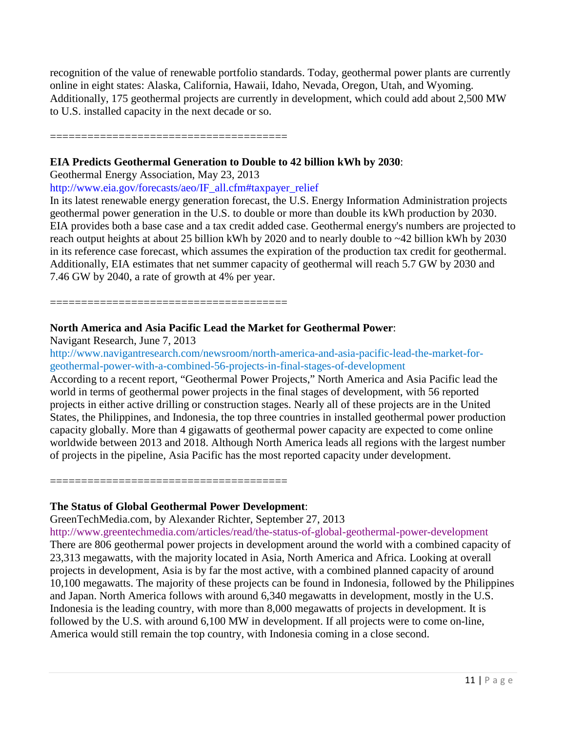recognition of the value of renewable portfolio standards. Today, geothermal power plants are currently online in eight states: Alaska, California, Hawaii, Idaho, Nevada, Oregon, Utah, and Wyoming. Additionally, 175 geothermal projects are currently in development, which could add about 2,500 MW to U.S. installed capacity in the next decade or so.

======================================

### **EIA Predicts Geothermal Generation to Double to 42 billion kWh by 2030**:

Geothermal Energy Association, May 23, 2013

[http://www.eia.gov/forecasts/aeo/IF\\_all.cfm#taxpayer\\_relief](http://www.eia.gov/forecasts/aeo/IF_all.cfm#taxpayer_relief)

In its latest renewable energy generation forecast, the U.S. Energy Information Administration projects geothermal power generation in the U.S. to double or more than double its kWh production by 2030. EIA provides both a base case and a tax credit added case. Geothermal energy's numbers are projected to reach output heights at about 25 billion kWh by 2020 and to nearly double to ~42 billion kWh by 2030 in its reference case forecast, which assumes the expiration of the production tax credit for geothermal. Additionally, EIA estimates that net summer capacity of geothermal will reach 5.7 GW by 2030 and 7.46 GW by 2040, a rate of growth at 4% per year.

======================================

### **North America and Asia Pacific Lead the Market for Geothermal Power**:

Navigant Research, June 7, 2013

[http://www.navigantresearch.com/newsroom/north-america-and-asia-pacific-lead-the-market-for](http://www.navigantresearch.com/newsroom/north-america-and-asia-pacific-lead-the-market-for-geothermal-power-with-a-combined-56-projects-in-final-stages-of-development)[geothermal-power-with-a-combined-56-projects-in-final-stages-of-development](http://www.navigantresearch.com/newsroom/north-america-and-asia-pacific-lead-the-market-for-geothermal-power-with-a-combined-56-projects-in-final-stages-of-development)

According to a recent report, "Geothermal Power Projects," North America and Asia Pacific lead the world in terms of geothermal power projects in the final stages of development, with 56 reported projects in either active drilling or construction stages. Nearly all of these projects are in the United States, the Philippines, and Indonesia, the top three countries in installed geothermal power production capacity globally. More than 4 gigawatts of geothermal power capacity are expected to come online worldwide between 2013 and 2018. Although North America leads all regions with the largest number of projects in the pipeline, Asia Pacific has the most reported capacity under development.

======================================

### **The Status of Global Geothermal Power Development**:

GreenTechMedia.com, by Alexander Richter, September 27, 2013

<http://www.greentechmedia.com/articles/read/the-status-of-global-geothermal-power-development> There are 806 geothermal power projects in development around the world with a combined capacity of 23,313 megawatts, with the majority located in Asia, North America and Africa. Looking at overall projects in development, Asia is by far the most active, with a combined planned capacity of around 10,100 megawatts. The majority of these projects can be found in Indonesia, followed by the Philippines and Japan. North America follows with around 6,340 megawatts in development, mostly in the U.S. Indonesia is the leading country, with more than 8,000 megawatts of projects in development. It is followed by the U.S. with around 6,100 MW in development. If all projects were to come on-line, America would still remain the top country, with Indonesia coming in a close second.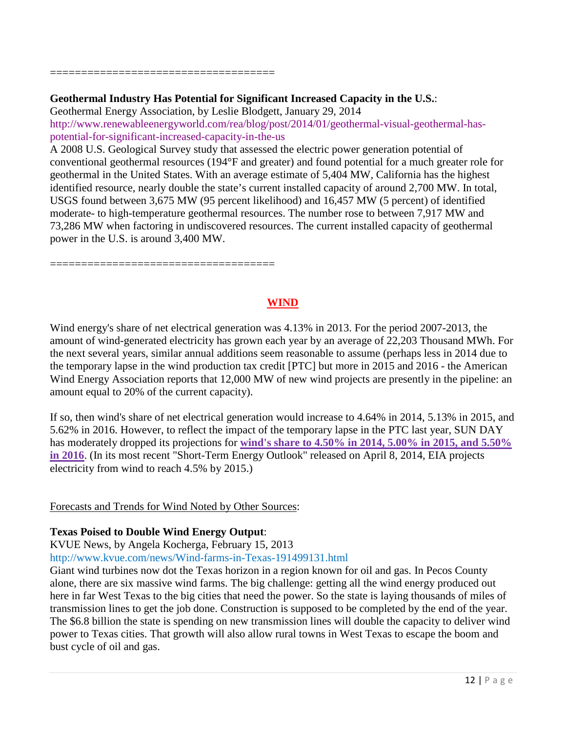====================================

### **Geothermal Industry Has Potential for Significant Increased Capacity in the U.S.**:

Geothermal Energy Association, by Leslie Blodgett, January 29, 2014 [http://www.renewableenergyworld.com/rea/blog/post/2014/01/geothermal-visual-geothermal-has](http://www.renewableenergyworld.com/rea/blog/post/2014/01/geothermal-visual-geothermal-has-potential-for-significant-increased-capacity-in-the-us)[potential-for-significant-increased-capacity-in-the-us](http://www.renewableenergyworld.com/rea/blog/post/2014/01/geothermal-visual-geothermal-has-potential-for-significant-increased-capacity-in-the-us)

A 2008 U.S. Geological Survey study that assessed the electric power generation potential of conventional geothermal resources (194°F and greater) and found potential for a much greater role for geothermal in the United States. With an average estimate of 5,404 MW, California has the highest identified resource, nearly double the state's current installed capacity of around 2,700 MW. In total, USGS found between 3,675 MW (95 percent likelihood) and 16,457 MW (5 percent) of identified moderate- to high-temperature geothermal resources. The number rose to between 7,917 MW and 73,286 MW when factoring in undiscovered resources. The current installed capacity of geothermal power in the U.S. is around 3,400 MW.

====================================

# **WIND**

Wind energy's share of net electrical generation was 4.13% in 2013. For the period 2007-2013, the amount of wind-generated electricity has grown each year by an average of 22,203 Thousand MWh. For the next several years, similar annual additions seem reasonable to assume (perhaps less in 2014 due to the temporary lapse in the wind production tax credit [PTC] but more in 2015 and 2016 - the American Wind Energy Association reports that 12,000 MW of new wind projects are presently in the pipeline: an amount equal to 20% of the current capacity).

If so, then wind's share of net electrical generation would increase to 4.64% in 2014, 5.13% in 2015, and 5.62% in 2016. However, to reflect the impact of the temporary lapse in the PTC last year, SUN DAY has moderately dropped its projections for **wind's share to 4.50% in 2014, 5.00% in 2015, and 5.50% in 2016**. (In its most recent "Short-Term Energy Outlook" released on April 8, 2014, EIA projects electricity from wind to reach 4.5% by 2015.)

### Forecasts and Trends for Wind Noted by Other Sources:

### **Texas Poised to Double Wind Energy Output**:

KVUE News, by Angela Kocherga, February 15, 2013

<http://www.kvue.com/news/Wind-farms-in-Texas-191499131.html>

Giant wind turbines now dot the Texas horizon in a region known for oil and gas. In Pecos County alone, there are six massive wind farms. The big challenge: getting all the wind energy produced out here in far West Texas to the big cities that need the power. So the state is laying thousands of miles of transmission lines to get the job done. Construction is supposed to be completed by the end of the year. The \$6.8 billion the state is spending on new transmission lines will double the capacity to deliver wind power to Texas cities. That growth will also allow rural towns in West Texas to escape the boom and bust cycle of oil and gas.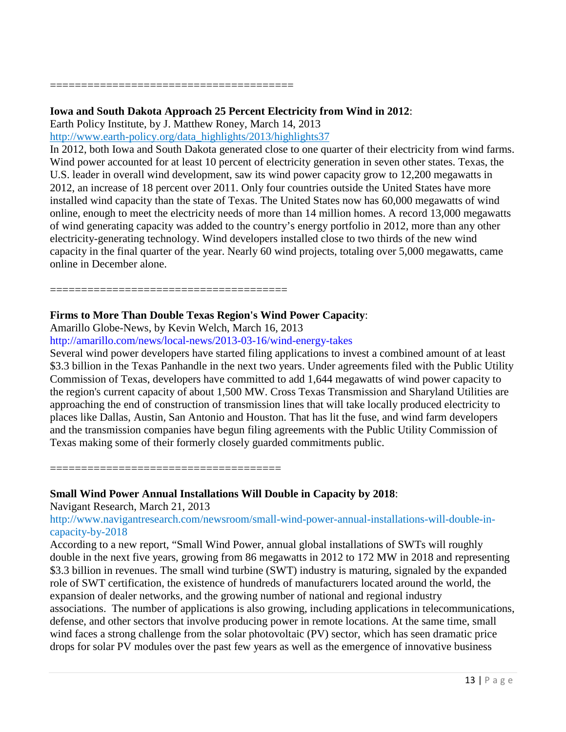#### =======================================

#### **Iowa and South Dakota Approach 25 Percent Electricity from Wind in 2012**:

Earth Policy Institute, by J. Matthew Roney, March 14, 2013

[http://www.earth-policy.org/data\\_highlights/2013/highlights37](http://www.earth-policy.org/data_highlights/2013/highlights37)

In 2012, both Iowa and South Dakota generated close to one quarter of their electricity from wind farms. Wind power accounted for at least 10 percent of electricity generation in seven other states. Texas, the U.S. leader in overall wind development, saw its wind power capacity grow to 12,200 megawatts in 2012, an increase of 18 percent over 2011. Only four countries outside the United States have more installed wind capacity than the state of Texas. The United States now has 60,000 megawatts of wind online, enough to meet the electricity needs of more than 14 million homes. A record 13,000 megawatts of wind generating capacity was added to the country's energy portfolio in 2012, more than any other electricity-generating technology. Wind developers installed close to two thirds of the new wind capacity in the final quarter of the year. Nearly 60 wind projects, totaling over 5,000 megawatts, came online in December alone.

### **Firms to More Than Double Texas Region's Wind Power Capacity**:

Amarillo Globe-News, by Kevin Welch, March 16, 2013

======================================

<http://amarillo.com/news/local-news/2013-03-16/wind-energy-takes>

Several wind power developers have started filing applications to invest a combined amount of at least \$3.3 billion in the Texas Panhandle in the next two years. Under agreements filed with the Public Utility Commission of Texas, developers have committed to add 1,644 megawatts of wind power capacity to the region's current capacity of about 1,500 MW. Cross Texas Transmission and Sharyland Utilities are approaching the end of construction of transmission lines that will take locally produced electricity to places like Dallas, Austin, San Antonio and Houston. That has lit the fuse, and wind farm developers and the transmission companies have begun filing agreements with the Public Utility Commission of Texas making some of their formerly closely guarded commitments public.

=====================================

### **Small Wind Power Annual Installations Will Double in Capacity by 2018**:

Navigant Research, March 21, 2013

[http://www.navigantresearch.com/newsroom/small-wind-power-annual-installations-will-double-in](http://www.navigantresearch.com/newsroom/small-wind-power-annual-installations-will-double-in-capacity-by-2018)[capacity-by-2018](http://www.navigantresearch.com/newsroom/small-wind-power-annual-installations-will-double-in-capacity-by-2018)

According to a new report, "Small Wind Power, annual global installations of SWTs will roughly double in the next five years, growing from 86 megawatts in 2012 to 172 MW in 2018 and representing \$3.3 billion in revenues. The small wind turbine (SWT) industry is maturing, signaled by the expanded role of SWT certification, the existence of hundreds of manufacturers located around the world, the expansion of dealer networks, and the growing number of national and regional industry associations. The number of applications is also growing, including applications in telecommunications, defense, and other sectors that involve producing power in remote locations. At the same time, small wind faces a strong challenge from the solar photovoltaic (PV) sector, which has seen dramatic price drops for solar PV modules over the past few years as well as the emergence of innovative business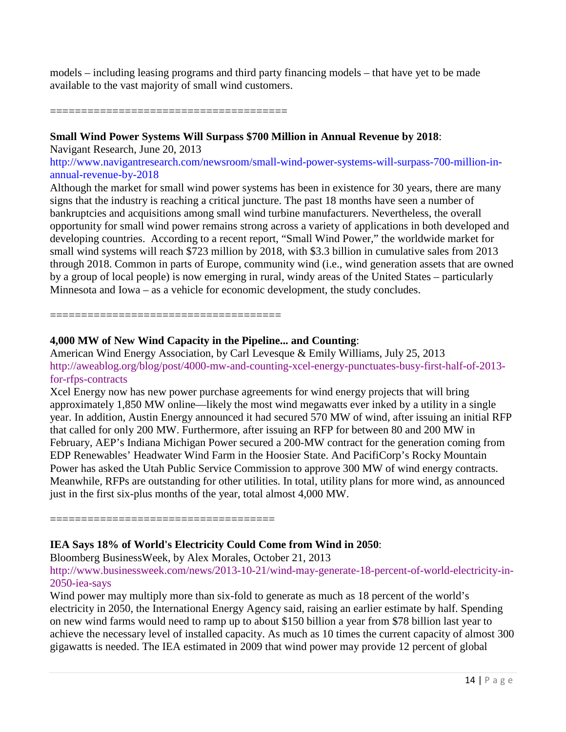models – including leasing programs and third party financing models – that have yet to be made available to the vast majority of small wind customers.

======================================

### **Small Wind Power Systems Will Surpass \$700 Million in Annual Revenue by 2018**:

Navigant Research, June 20, 2013

[http://www.navigantresearch.com/newsroom/small-wind-power-systems-will-surpass-700-million-in](http://www.navigantresearch.com/newsroom/small-wind-power-systems-will-surpass-700-million-in-annual-revenue-by-2018)[annual-revenue-by-2018](http://www.navigantresearch.com/newsroom/small-wind-power-systems-will-surpass-700-million-in-annual-revenue-by-2018)

Although the market for small wind power systems has been in existence for 30 years, there are many signs that the industry is reaching a critical juncture. The past 18 months have seen a number of bankruptcies and acquisitions among small wind turbine manufacturers. Nevertheless, the overall opportunity for small wind power remains strong across a variety of applications in both developed and developing countries. According to a recent report, "Small Wind Power," the worldwide market for small wind systems will reach \$723 million by 2018, with \$3.3 billion in cumulative sales from 2013 through 2018. Common in parts of Europe, community wind (i.e., wind generation assets that are owned by a group of local people) is now emerging in rural, windy areas of the United States – particularly Minnesota and Iowa – as a vehicle for economic development, the study concludes.

=====================================

# **4,000 MW of New Wind Capacity in the Pipeline... and Counting**:

American Wind Energy Association, by Carl Levesque & Emily Williams, July 25, 2013 [http://aweablog.org/blog/post/4000-mw-and-counting-xcel-energy-punctuates-busy-first-half-of-2013](http://aweablog.org/blog/post/4000-mw-and-counting-xcel-energy-punctuates-busy-first-half-of-2013-for-rfps-contracts) [for-rfps-contracts](http://aweablog.org/blog/post/4000-mw-and-counting-xcel-energy-punctuates-busy-first-half-of-2013-for-rfps-contracts)

Xcel Energy now has new power purchase agreements for wind energy projects that will bring approximately 1,850 MW online—likely the most wind megawatts ever inked by a utility in a single year. In addition, Austin Energy announced it had secured 570 MW of wind, after issuing an initial RFP that called for only 200 MW. Furthermore, after issuing an RFP for between 80 and 200 MW in February, AEP's Indiana Michigan Power secured a 200-MW contract for the generation coming from EDP Renewables' Headwater Wind Farm in the Hoosier State. And PacifiCorp's Rocky Mountain Power has asked the Utah Public Service Commission to approve 300 MW of wind energy contracts. Meanwhile, RFPs are outstanding for other utilities. In total, utility plans for more wind, as announced just in the first six-plus months of the year, total almost 4,000 MW.

====================================

# **IEA Says 18% of World's Electricity Could Come from Wind in 2050**:

Bloomberg BusinessWeek, by Alex Morales, October 21, 2013

[http://www.businessweek.com/news/2013-10-21/wind-may-generate-18-percent-of-world-electricity-in-](http://www.businessweek.com/news/2013-10-21/wind-may-generate-18-percent-of-world-electricity-in-2050-iea-says)[2050-iea-says](http://www.businessweek.com/news/2013-10-21/wind-may-generate-18-percent-of-world-electricity-in-2050-iea-says)

Wind power may multiply more than six-fold to generate as much as 18 percent of the world's electricity in 2050, the International Energy Agency said, raising an earlier estimate by half. Spending on new wind farms would need to ramp up to about \$150 billion a year from \$78 billion last year to achieve the necessary level of installed capacity. As much as 10 times the current capacity of almost 300 gigawatts is needed. The IEA estimated in 2009 that wind power may provide 12 percent of global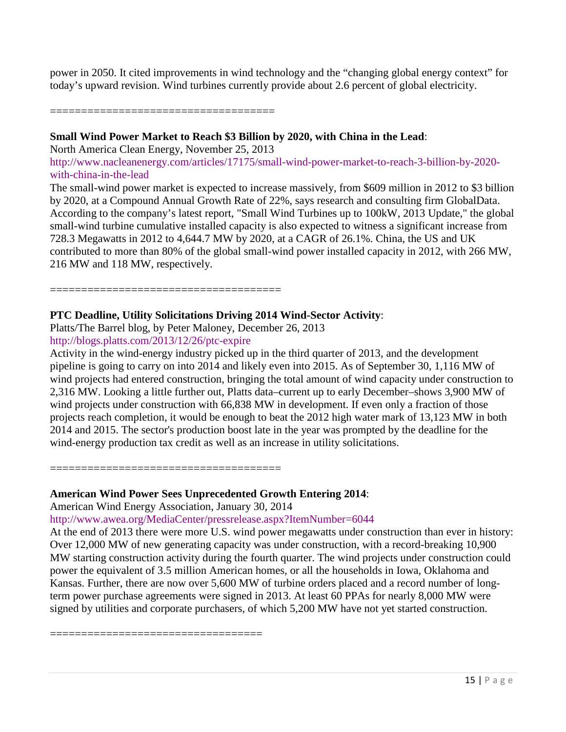power in 2050. It cited improvements in wind technology and the "changing global energy context" for today's upward revision. Wind turbines currently provide about 2.6 percent of global electricity.

====================================

### **Small Wind Power Market to Reach \$3 Billion by 2020, with China in the Lead**:

North America Clean Energy, November 25, 2013

[http://www.nacleanenergy.com/articles/17175/small-wind-power-market-to-reach-3-billion-by-2020](http://www.nacleanenergy.com/articles/17175/small-wind-power-market-to-reach-3-billion-by-2020-with-china-in-the-lead) [with-china-in-the-lead](http://www.nacleanenergy.com/articles/17175/small-wind-power-market-to-reach-3-billion-by-2020-with-china-in-the-lead)

The small-wind power market is expected to increase massively, from \$609 million in 2012 to \$3 billion by 2020, at a Compound Annual Growth Rate of 22%, says research and consulting firm GlobalData. According to the company's latest report, "Small Wind Turbines up to 100kW, 2013 Update," the global small-wind turbine cumulative installed capacity is also expected to witness a significant increase from 728.3 Megawatts in 2012 to 4,644.7 MW by 2020, at a CAGR of 26.1%. China, the US and UK contributed to more than 80% of the global small-wind power installed capacity in 2012, with 266 MW, 216 MW and 118 MW, respectively.

=====================================

### **PTC Deadline, Utility Solicitations Driving 2014 Wind-Sector Activity**:

Platts/The Barrel blog, by Peter Maloney, December 26, 2013

<http://blogs.platts.com/2013/12/26/ptc-expire>

Activity in the wind-energy industry picked up in the third quarter of 2013, and the development pipeline is going to carry on into 2014 and likely even into 2015. As of September 30, 1,116 MW of wind projects had entered construction, bringing the total amount of wind capacity under construction to 2,316 MW. Looking a little further out, Platts data–current up to early December–shows 3,900 MW of wind projects under construction with 66,838 MW in development. If even only a fraction of those projects reach completion, it would be enough to beat the 2012 high water mark of 13,123 MW in both 2014 and 2015. The sector's production boost late in the year was prompted by the deadline for the wind-energy production tax credit as well as an increase in utility solicitations.

=====================================

### **American Wind Power Sees Unprecedented Growth Entering 2014**:

American Wind Energy Association, January 30, 2014

<http://www.awea.org/MediaCenter/pressrelease.aspx?ItemNumber=6044>

At the end of 2013 there were more U.S. wind power megawatts under construction than ever in history: Over 12,000 MW of new generating capacity was under construction, with a record-breaking 10,900 MW starting construction activity during the fourth quarter. The wind projects under construction could power the equivalent of 3.5 million American homes, or all the households in Iowa, Oklahoma and Kansas. Further, there are now over 5,600 MW of turbine orders placed and a record number of longterm power purchase agreements were signed in 2013. At least 60 PPAs for nearly 8,000 MW were signed by utilities and corporate purchasers, of which 5,200 MW have not yet started construction.

==================================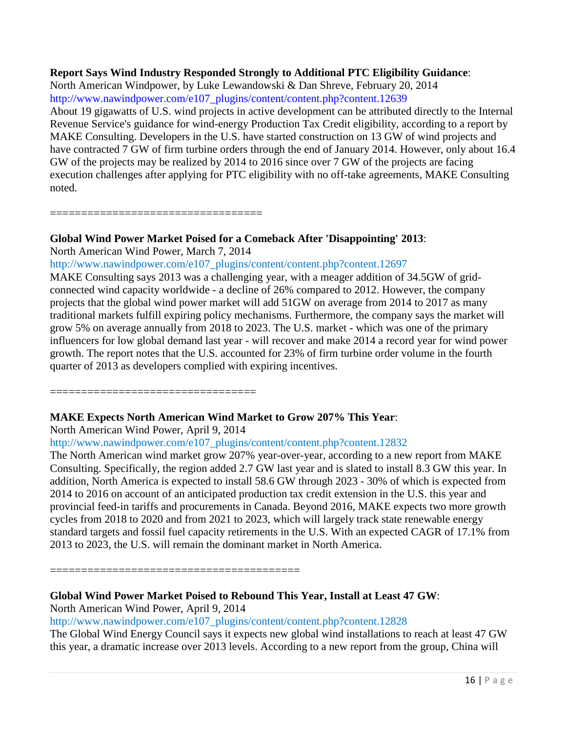# **Report Says Wind Industry Responded Strongly to Additional PTC Eligibility Guidance**:

North American Windpower, by Luke Lewandowski & Dan Shreve, February 20, 2014 [http://www.nawindpower.com/e107\\_plugins/content/content.php?content.12639](http://www.nawindpower.com/e107_plugins/content/content.php?content.12639)

About 19 gigawatts of U.S. wind projects in active development can be attributed directly to the Internal Revenue Service's guidance for wind-energy Production Tax Credit eligibility, according to a report by MAKE Consulting. Developers in the U.S. have started construction on 13 GW of wind projects and have contracted 7 GW of firm turbine orders through the end of January 2014. However, only about 16.4 GW of the projects may be realized by 2014 to 2016 since over 7 GW of the projects are facing execution challenges after applying for PTC eligibility with no off-take agreements, MAKE Consulting noted.

==================================

# **Global Wind Power Market Poised for a Comeback After 'Disappointing' 2013**:

North American Wind Power, March 7, 2014

[http://www.nawindpower.com/e107\\_plugins/content/content.php?content.12697](http://www.nawindpower.com/e107_plugins/content/content.php?content.12697)

MAKE Consulting says 2013 was a challenging year, with a meager addition of 34.5GW of gridconnected wind capacity worldwide - a decline of 26% compared to 2012. However, the company projects that the global wind power market will add 51GW on average from 2014 to 2017 as many traditional markets fulfill expiring policy mechanisms. Furthermore, the company says the market will grow 5% on average annually from 2018 to 2023. The U.S. market - which was one of the primary influencers for low global demand last year - will recover and make 2014 a record year for wind power growth. The report notes that the U.S. accounted for 23% of firm turbine order volume in the fourth quarter of 2013 as developers complied with expiring incentives.

=================================

# **MAKE Expects North American Wind Market to Grow 207% This Year**:

North American Wind Power, April 9, 2014

[http://www.nawindpower.com/e107\\_plugins/content/content.php?content.12832](http://www.nawindpower.com/e107_plugins/content/content.php?content.12832)

The North American wind market grow 207% year-over-year, according to a new report from MAKE Consulting. Specifically, the region added 2.7 GW last year and is slated to install 8.3 GW this year. In addition, North America is expected to install 58.6 GW through 2023 - 30% of which is expected from 2014 to 2016 on account of an anticipated production tax credit extension in the U.S. this year and provincial feed-in tariffs and procurements in Canada. Beyond 2016, MAKE expects two more growth cycles from 2018 to 2020 and from 2021 to 2023, which will largely track state renewable energy standard targets and fossil fuel capacity retirements in the U.S. With an expected CAGR of 17.1% from 2013 to 2023, the U.S. will remain the dominant market in North America.

========================================

# **Global Wind Power Market Poised to Rebound This Year, Install at Least 47 GW**:

North American Wind Power, April 9, 2014

[http://www.nawindpower.com/e107\\_plugins/content/content.php?content.12828](http://www.nawindpower.com/e107_plugins/content/content.php?content.12828)

The Global Wind Energy Council says it expects new global wind installations to reach at least 47 GW this year, a dramatic increase over 2013 levels. According to a new report from the group, China will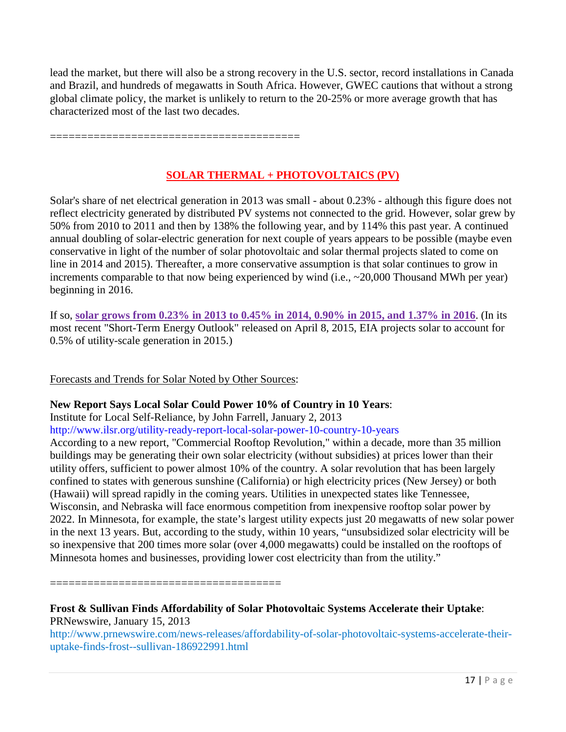lead the market, but there will also be a strong recovery in the U.S. sector, record installations in Canada and Brazil, and hundreds of megawatts in South Africa. However, GWEC cautions that without a strong global climate policy, the market is unlikely to return to the 20-25% or more average growth that has characterized most of the last two decades.

========================================

# **SOLAR THERMAL + PHOTOVOLTAICS (PV)**

Solar's share of net electrical generation in 2013 was small - about 0.23% - although this figure does not reflect electricity generated by distributed PV systems not connected to the grid. However, solar grew by 50% from 2010 to 2011 and then by 138% the following year, and by 114% this past year. A continued annual doubling of solar-electric generation for next couple of years appears to be possible (maybe even conservative in light of the number of solar photovoltaic and solar thermal projects slated to come on line in 2014 and 2015). Thereafter, a more conservative assumption is that solar continues to grow in increments comparable to that now being experienced by wind (i.e., ~20,000 Thousand MWh per year) beginning in 2016.

If so, **solar grows from 0.23% in 2013 to 0.45% in 2014, 0.90% in 2015, and 1.37% in 2016**. (In its most recent "Short-Term Energy Outlook" released on April 8, 2015, EIA projects solar to account for 0.5% of utility-scale generation in 2015.)

Forecasts and Trends for Solar Noted by Other Sources:

# **New Report Says Local Solar Could Power 10% of Country in 10 Years**:

Institute for Local Self-Reliance, by John Farrell, January 2, 2013

<http://www.ilsr.org/utility-ready-report-local-solar-power-10-country-10-years>

According to a new report, "Commercial Rooftop Revolution," within a decade, more than 35 million buildings may be generating their own solar electricity (without subsidies) at prices lower than their utility offers, sufficient to power almost 10% of the country. A solar revolution that has been largely confined to states with generous sunshine (California) or high electricity prices (New Jersey) or both (Hawaii) will spread rapidly in the coming years. Utilities in unexpected states like Tennessee, Wisconsin, and Nebraska will face enormous competition from inexpensive rooftop solar power by 2022. In Minnesota, for example, the state's largest utility expects just 20 megawatts of new solar power in the next 13 years. But, according to the study, within 10 years, "unsubsidized solar electricity will be so inexpensive that 200 times more solar (over 4,000 megawatts) could be installed on the rooftops of Minnesota homes and businesses, providing lower cost electricity than from the utility."

=====================================

# **Frost & Sullivan Finds Affordability of Solar Photovoltaic Systems Accelerate their Uptake**: PRNewswire, January 15, 2013

[http://www.prnewswire.com/news-releases/affordability-of-solar-photovoltaic-systems-accelerate-their](http://www.prnewswire.com/news-releases/affordability-of-solar-photovoltaic-systems-accelerate-their-uptake-finds-frost--sullivan-186922991.html)[uptake-finds-frost--sullivan-186922991.html](http://www.prnewswire.com/news-releases/affordability-of-solar-photovoltaic-systems-accelerate-their-uptake-finds-frost--sullivan-186922991.html)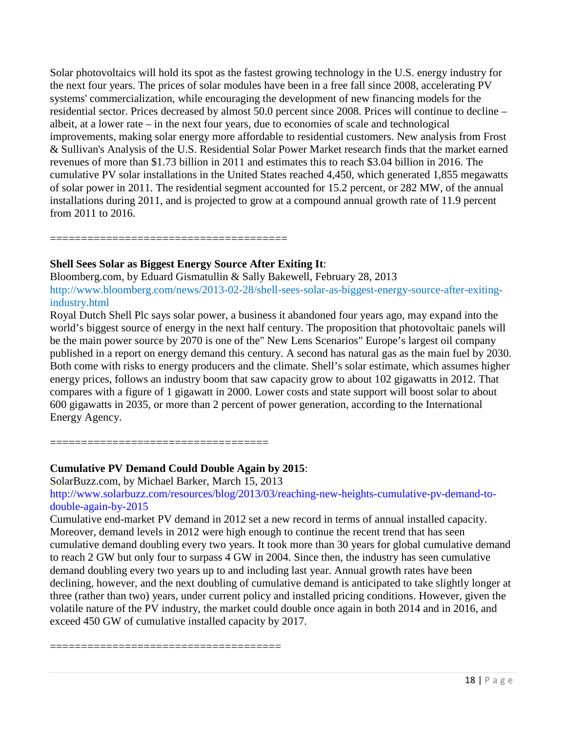Solar photovoltaics will hold its spot as the fastest growing technology in the U.S. energy industry for the next four years. The prices of solar modules have been in a free fall since 2008, accelerating PV systems' commercialization, while encouraging the development of new financing models for the residential sector. Prices decreased by almost 50.0 percent since 2008. Prices will continue to decline – albeit, at a lower rate – in the next four years, due to economies of scale and technological improvements, making solar energy more affordable to residential customers. New analysis from Frost & Sullivan's Analysis of the U.S. Residential Solar Power Market research finds that the market earned revenues of more than \$1.73 billion in 2011 and estimates this to reach \$3.04 billion in 2016. The cumulative PV solar installations in the United States reached 4,450, which generated 1,855 megawatts of solar power in 2011. The residential segment accounted for 15.2 percent, or 282 MW, of the annual installations during 2011, and is projected to grow at a compound annual growth rate of 11.9 percent from 2011 to 2016.

======================================

# **Shell Sees Solar as Biggest Energy Source After Exiting It**:

Bloomberg.com, by Eduard Gismatullin & Sally Bakewell, February 28, 2013 [http://www.bloomberg.com/news/2013-02-28/shell-sees-solar-as-biggest-energy-source-after-exiting](http://www.bloomberg.com/news/2013-02-28/shell-sees-solar-as-biggest-energy-source-after-exiting-industry.html)[industry.html](http://www.bloomberg.com/news/2013-02-28/shell-sees-solar-as-biggest-energy-source-after-exiting-industry.html)

Royal Dutch Shell Plc says solar power, a business it abandoned four years ago, may expand into the world's biggest source of energy in the next half century. The proposition that photovoltaic panels will be the main power source by 2070 is one of the" New Lens Scenarios" Europe's largest oil company published in a report on energy demand this century. A second has natural gas as the main fuel by 2030. Both come with risks to energy producers and the climate. Shell's solar estimate, which assumes higher energy prices, follows an industry boom that saw capacity grow to about 102 gigawatts in 2012. That compares with a figure of 1 gigawatt in 2000. Lower costs and state support will boost solar to about 600 gigawatts in 2035, or more than 2 percent of power generation, according to the International Energy Agency.

===================================

# **Cumulative PV Demand Could Double Again by 2015**:

SolarBuzz.com, by Michael Barker, March 15, 2013

[http://www.solarbuzz.com/resources/blog/2013/03/reaching-new-heights-cumulative-pv-demand-to](http://www.solarbuzz.com/resources/blog/2013/03/reaching-new-heights-cumulative-pv-demand-to-double-again-by-2015)[double-again-by-2015](http://www.solarbuzz.com/resources/blog/2013/03/reaching-new-heights-cumulative-pv-demand-to-double-again-by-2015)

Cumulative end-market PV demand in 2012 set a new record in terms of annual installed capacity. Moreover, demand levels in 2012 were high enough to continue the recent trend that has seen cumulative demand doubling every two years. It took more than 30 years for global cumulative demand to reach 2 GW but only four to surpass 4 GW in 2004. Since then, the industry has seen cumulative demand doubling every two years up to and including last year. Annual growth rates have been declining, however, and the next doubling of cumulative demand is anticipated to take slightly longer at three (rather than two) years, under current policy and installed pricing conditions. However, given the volatile nature of the PV industry, the market could double once again in both 2014 and in 2016, and exceed 450 GW of cumulative installed capacity by 2017.

=====================================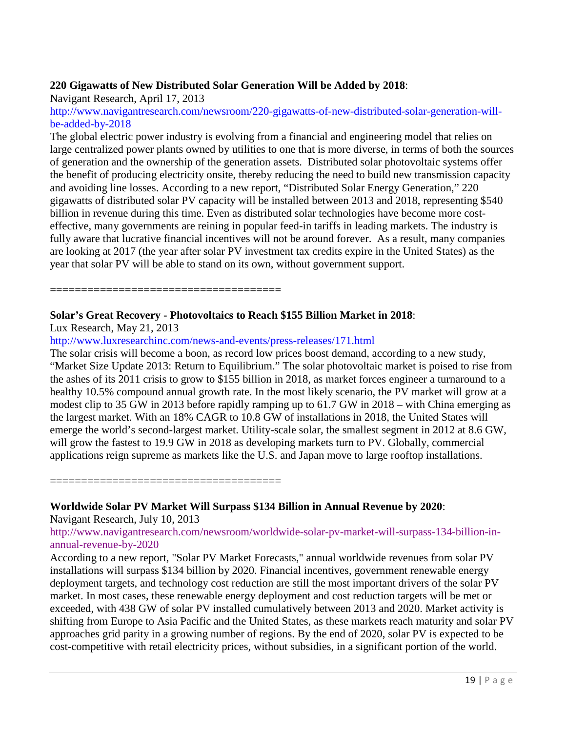### **220 Gigawatts of New Distributed Solar Generation Will be Added by 2018**:

Navigant Research, April 17, 2013

[http://www.navigantresearch.com/newsroom/220-gigawatts-of-new-distributed-solar-generation-will](http://www.navigantresearch.com/newsroom/220-gigawatts-of-new-distributed-solar-generation-will-be-added-by-2018)[be-added-by-2018](http://www.navigantresearch.com/newsroom/220-gigawatts-of-new-distributed-solar-generation-will-be-added-by-2018)

The global electric power industry is evolving from a financial and engineering model that relies on large centralized power plants owned by utilities to one that is more diverse, in terms of both the sources of generation and the ownership of the generation assets. Distributed solar photovoltaic systems offer the benefit of producing electricity onsite, thereby reducing the need to build new transmission capacity and avoiding line losses. According to a new report, "Distributed Solar Energy Generation," 220 gigawatts of distributed solar PV capacity will be installed between 2013 and 2018, representing \$540 billion in revenue during this time. Even as distributed solar technologies have become more costeffective, many governments are reining in popular feed-in tariffs in leading markets. The industry is fully aware that lucrative financial incentives will not be around forever. As a result, many companies are looking at 2017 (the year after solar PV investment tax credits expire in the United States) as the year that solar PV will be able to stand on its own, without government support.

=============================

### **Solar's Great Recovery - Photovoltaics to Reach \$155 Billion Market in 2018**:

Lux Research, May 21, 2013

<http://www.luxresearchinc.com/news-and-events/press-releases/171.html>

The solar crisis will become a boon, as record low prices boost demand, according to a new study, "Market Size Update 2013: Return to Equilibrium." The solar photovoltaic market is poised to rise from the ashes of its 2011 crisis to grow to \$155 billion in 2018, as market forces engineer a turnaround to a healthy 10.5% compound annual growth rate. In the most likely scenario, the PV market will grow at a modest clip to 35 GW in 2013 before rapidly ramping up to 61.7 GW in 2018 – with China emerging as the largest market. With an 18% CAGR to 10.8 GW of installations in 2018, the United States will emerge the world's second-largest market. Utility-scale solar, the smallest segment in 2012 at 8.6 GW, will grow the fastest to 19.9 GW in 2018 as developing markets turn to PV. Globally, commercial applications reign supreme as markets like the U.S. and Japan move to large rooftop installations.

=====================================

**Worldwide Solar PV Market Will Surpass \$134 Billion in Annual Revenue by 2020**:

Navigant Research, July 10, 2013

[http://www.navigantresearch.com/newsroom/worldwide-solar-pv-market-will-surpass-134-billion-in](http://www.navigantresearch.com/newsroom/worldwide-solar-pv-market-will-surpass-134-billion-in-annual-revenue-by-2020)[annual-revenue-by-2020](http://www.navigantresearch.com/newsroom/worldwide-solar-pv-market-will-surpass-134-billion-in-annual-revenue-by-2020)

According to a new report, "Solar PV Market Forecasts," annual worldwide revenues from solar PV installations will surpass \$134 billion by 2020. Financial incentives, government renewable energy deployment targets, and technology cost reduction are still the most important drivers of the solar PV market. In most cases, these renewable energy deployment and cost reduction targets will be met or exceeded, with 438 GW of solar PV installed cumulatively between 2013 and 2020. Market activity is shifting from Europe to Asia Pacific and the United States, as these markets reach maturity and solar PV approaches grid parity in a growing number of regions. By the end of 2020, solar PV is expected to be cost-competitive with retail electricity prices, without subsidies, in a significant portion of the world.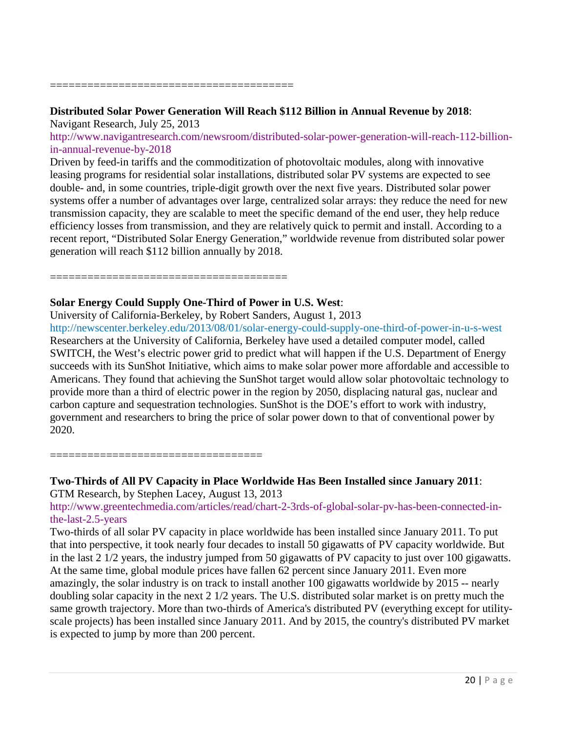=======================================

# **Distributed Solar Power Generation Will Reach \$112 Billion in Annual Revenue by 2018**:

Navigant Research, July 25, 2013

[http://www.navigantresearch.com/newsroom/distributed-solar-power-generation-will-reach-112-billion](http://www.navigantresearch.com/newsroom/distributed-solar-power-generation-will-reach-112-billion-in-annual-revenue-by-2018)[in-annual-revenue-by-2018](http://www.navigantresearch.com/newsroom/distributed-solar-power-generation-will-reach-112-billion-in-annual-revenue-by-2018)

Driven by feed-in tariffs and the commoditization of photovoltaic modules, along with innovative leasing programs for residential solar installations, distributed solar PV systems are expected to see double- and, in some countries, triple-digit growth over the next five years. Distributed solar power systems offer a number of advantages over large, centralized solar arrays: they reduce the need for new transmission capacity, they are scalable to meet the specific demand of the end user, they help reduce efficiency losses from transmission, and they are relatively quick to permit and install. According to a recent report, "Distributed Solar Energy Generation," worldwide revenue from distributed solar power generation will reach \$112 billion annually by 2018.

======================================

# **Solar Energy Could Supply One-Third of Power in U.S. West**:

University of California-Berkeley, by Robert Sanders, August 1, 2013 <http://newscenter.berkeley.edu/2013/08/01/solar-energy-could-supply-one-third-of-power-in-u-s-west> Researchers at the University of California, Berkeley have used a detailed computer model, called SWITCH, the West's electric power grid to predict what will happen if the U.S. Department of Energy succeeds with its SunShot Initiative, which aims to make solar power more affordable and accessible to Americans. They found that achieving the SunShot target would allow solar photovoltaic technology to provide more than a third of electric power in the region by 2050, displacing natural gas, nuclear and carbon capture and sequestration technologies. SunShot is the DOE's effort to work with industry, government and researchers to bring the price of solar power down to that of conventional power by 2020.

==================================

# **Two-Thirds of All PV Capacity in Place Worldwide Has Been Installed since January 2011**:

GTM Research, by Stephen Lacey, August 13, 2013

[http://www.greentechmedia.com/articles/read/chart-2-3rds-of-global-solar-pv-has-been-connected-in](http://www.greentechmedia.com/articles/read/chart-2-3rds-of-global-solar-pv-has-been-connected-in-the-last-2.5-years)[the-last-2.5-years](http://www.greentechmedia.com/articles/read/chart-2-3rds-of-global-solar-pv-has-been-connected-in-the-last-2.5-years)

Two-thirds of all solar PV capacity in place worldwide has been installed since January 2011. To put that into perspective, it took nearly four decades to install 50 gigawatts of PV capacity worldwide. But in the last 2 1/2 years, the industry jumped from 50 gigawatts of PV capacity to just over 100 gigawatts. At the same time, global module prices have fallen 62 percent since January 2011. Even more amazingly, the solar industry is on track to install another 100 gigawatts worldwide by 2015 -- nearly doubling solar capacity in the next 2 1/2 years. The U.S. distributed solar market is on pretty much the same growth trajectory. More than two-thirds of America's distributed PV (everything except for utilityscale projects) has been installed since January 2011. And by 2015, the country's distributed PV market is expected to jump by more than 200 percent.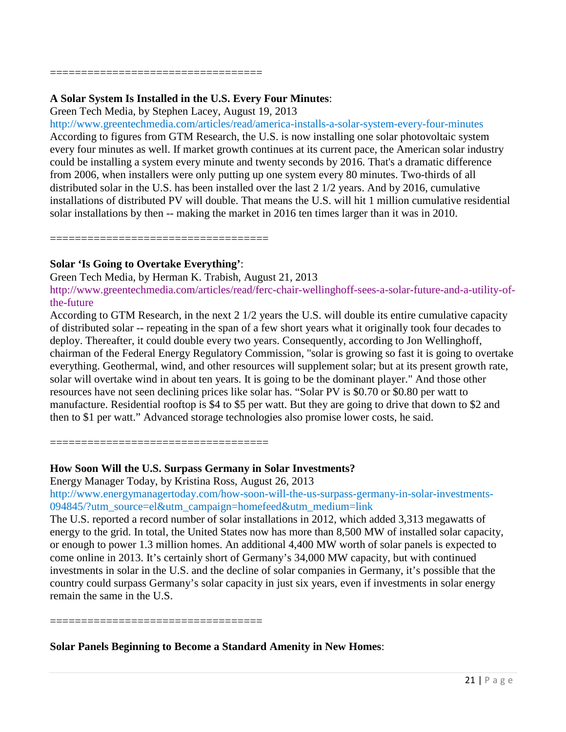==================================

### **A Solar System Is Installed in the U.S. Every Four Minutes**:

Green Tech Media, by Stephen Lacey, August 19, 2013

<http://www.greentechmedia.com/articles/read/america-installs-a-solar-system-every-four-minutes> According to figures from GTM Research, the U.S. is now installing one solar photovoltaic system every four minutes as well. If market growth continues at its current pace, the American solar industry could be installing a system every minute and twenty seconds by 2016. That's a dramatic difference from 2006, when installers were only putting up one system every 80 minutes. Two-thirds of all distributed solar in the U.S. has been installed over the last 2 1/2 years. And by 2016, cumulative installations of distributed PV will double. That means the U.S. will hit 1 million cumulative residential solar installations by then -- making the market in 2016 ten times larger than it was in 2010.

===================================

### **Solar 'Is Going to Overtake Everything'**:

Green Tech Media, by Herman K. Trabish, August 21, 2013 [http://www.greentechmedia.com/articles/read/ferc-chair-wellinghoff-sees-a-solar-future-and-a-utility-of](http://www.greentechmedia.com/articles/read/ferc-chair-wellinghoff-sees-a-solar-future-and-a-utility-of-the-future)[the-future](http://www.greentechmedia.com/articles/read/ferc-chair-wellinghoff-sees-a-solar-future-and-a-utility-of-the-future)

According to GTM Research, in the next 2 1/2 years the U.S. will double its entire cumulative capacity of distributed solar -- repeating in the span of a few short years what it originally took four decades to deploy. Thereafter, it could double every two years. Consequently, according to Jon Wellinghoff, chairman of the Federal Energy Regulatory Commission, "solar is growing so fast it is going to overtake everything. Geothermal, wind, and other resources will supplement solar; but at its present growth rate, solar will overtake wind in about ten years. It is going to be the dominant player." And those other resources have not seen declining prices like solar has. "Solar PV is \$0.70 or \$0.80 per watt to manufacture. Residential rooftop is \$4 to \$5 per watt. But they are going to drive that down to \$2 and then to \$1 per watt." Advanced storage technologies also promise lower costs, he said.

==============================

# **How Soon Will the U.S. Surpass Germany in Solar Investments?**

Energy Manager Today, by Kristina Ross, August 26, 2013

[http://www.energymanagertoday.com/how-soon-will-the-us-surpass-germany-in-solar-investments-](http://www.energymanagertoday.com/how-soon-will-the-us-surpass-germany-in-solar-investments-094845/?utm_source=el&utm_campaign=homefeed&utm_medium=link)[094845/?utm\\_source=el&utm\\_campaign=homefeed&utm\\_medium=link](http://www.energymanagertoday.com/how-soon-will-the-us-surpass-germany-in-solar-investments-094845/?utm_source=el&utm_campaign=homefeed&utm_medium=link)

The U.S. reported a record number of solar installations in 2012, which added 3,313 megawatts of energy to the grid. In total, the United States now has more than 8,500 MW of installed solar capacity, or enough to power 1.3 million homes. An additional 4,400 MW worth of solar panels is expected to come online in 2013. It's certainly short of Germany's 34,000 MW capacity, but with continued investments in solar in the U.S. and the decline of solar companies in Germany, it's possible that the country could surpass Germany's solar capacity in just six years, even if investments in solar energy remain the same in the U.S.

==================================

**Solar Panels Beginning to Become a Standard Amenity in New Homes**: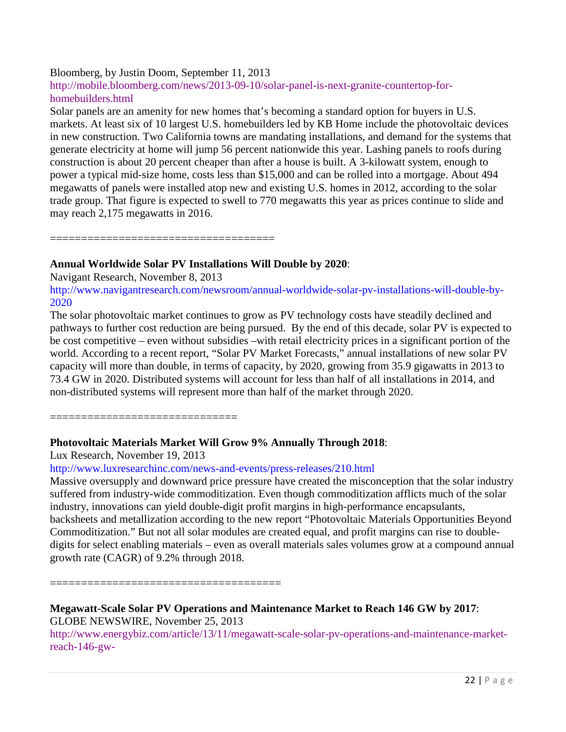### Bloomberg, by Justin Doom, September 11, 2013

[http://mobile.bloomberg.com/news/2013-09-10/solar-panel-is-next-granite-countertop-for](http://mobile.bloomberg.com/news/2013-09-10/solar-panel-is-next-granite-countertop-for-homebuilders.html)[homebuilders.html](http://mobile.bloomberg.com/news/2013-09-10/solar-panel-is-next-granite-countertop-for-homebuilders.html)

Solar panels are an amenity for new homes that's becoming a standard option for buyers in U.S. markets. At least six of 10 largest U.S. homebuilders led by KB Home include the photovoltaic devices in new construction. Two California towns are mandating installations, and demand for the systems that generate electricity at home will jump 56 percent nationwide this year. Lashing panels to roofs during construction is about 20 percent cheaper than after a house is built. A 3-kilowatt system, enough to power a typical mid-size home, costs less than \$15,000 and can be rolled into a mortgage. About 494 megawatts of panels were installed atop new and existing U.S. homes in 2012, according to the solar trade group. That figure is expected to swell to 770 megawatts this year as prices continue to slide and may reach 2,175 megawatts in 2016.

====================================

### **Annual Worldwide Solar PV Installations Will Double by 2020**:

Navigant Research, November 8, 2013

[http://www.navigantresearch.com/newsroom/annual-worldwide-solar-pv-installations-will-double-by-](http://www.navigantresearch.com/newsroom/annual-worldwide-solar-pv-installations-will-double-by-2020)[2020](http://www.navigantresearch.com/newsroom/annual-worldwide-solar-pv-installations-will-double-by-2020)

The solar photovoltaic market continues to grow as PV technology costs have steadily declined and pathways to further cost reduction are being pursued. By the end of this decade, solar PV is expected to be cost competitive – even without subsidies –with retail electricity prices in a significant portion of the world. According to a recent report, "Solar PV Market Forecasts," annual installations of new solar PV capacity will more than double, in terms of capacity, by 2020, growing from 35.9 gigawatts in 2013 to 73.4 GW in 2020. Distributed systems will account for less than half of all installations in 2014, and non-distributed systems will represent more than half of the market through 2020.

==================================

# **Photovoltaic Materials Market Will Grow 9% Annually Through 2018**:

Lux Research, November 19, 2013

### <http://www.luxresearchinc.com/news-and-events/press-releases/210.html>

Massive oversupply and downward price pressure have created the misconception that the solar industry suffered from industry-wide commoditization. Even though commoditization afflicts much of the solar industry, innovations can yield double-digit profit margins in high-performance encapsulants, backsheets and metallization according to the new report "Photovoltaic Materials Opportunities Beyond Commoditization." But not all solar modules are created equal, and profit margins can rise to doubledigits for select enabling materials – even as overall materials sales volumes grow at a compound annual growth rate (CAGR) of 9.2% through 2018.

=====================================

# **Megawatt-Scale Solar PV Operations and Maintenance Market to Reach 146 GW by 2017**: GLOBE NEWSWIRE, November 25, 2013

[http://www.energybiz.com/article/13/11/megawatt-scale-solar-pv-operations-and-maintenance-market](http://www.energybiz.com/article/13/11/megawatt-scale-solar-pv-operations-and-maintenance-market-reach-146-gw-2017?utm_source=2013_11_26&utm_medium=eNL&utm_campaign=EB_DAILY&utm_content=108834)[reach-146-gw-](http://www.energybiz.com/article/13/11/megawatt-scale-solar-pv-operations-and-maintenance-market-reach-146-gw-2017?utm_source=2013_11_26&utm_medium=eNL&utm_campaign=EB_DAILY&utm_content=108834)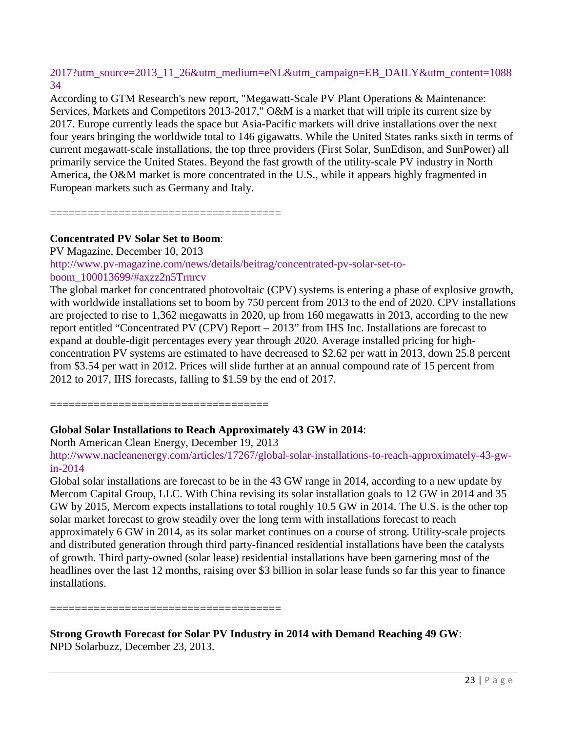# [2017?utm\\_source=2013\\_11\\_26&utm\\_medium=eNL&utm\\_campaign=EB\\_DAILY&utm\\_content=1088](http://www.energybiz.com/article/13/11/megawatt-scale-solar-pv-operations-and-maintenance-market-reach-146-gw-2017?utm_source=2013_11_26&utm_medium=eNL&utm_campaign=EB_DAILY&utm_content=108834) [34](http://www.energybiz.com/article/13/11/megawatt-scale-solar-pv-operations-and-maintenance-market-reach-146-gw-2017?utm_source=2013_11_26&utm_medium=eNL&utm_campaign=EB_DAILY&utm_content=108834)

According to GTM Research's new report, "Megawatt-Scale PV Plant Operations & Maintenance: Services, Markets and Competitors 2013-2017," O&M is a market that will triple its current size by 2017. Europe currently leads the space but Asia-Pacific markets will drive installations over the next four years bringing the worldwide total to 146 gigawatts. While the United States ranks sixth in terms of current megawatt-scale installations, the top three providers (First Solar, SunEdison, and SunPower) all primarily service the United States. Beyond the fast growth of the utility-scale PV industry in North America, the O&M market is more concentrated in the U.S., while it appears highly fragmented in European markets such as Germany and Italy.

=====================================

### **Concentrated PV Solar Set to Boom**:

PV Magazine, December 10, 2013

[http://www.pv-magazine.com/news/details/beitrag/concentrated-pv-solar-set-to](http://www.pv-magazine.com/news/details/beitrag/concentrated-pv-solar-set-to-boom_100013699/#axzz2n5Trnrcv)[boom\\_100013699/#axzz2n5Trnrcv](http://www.pv-magazine.com/news/details/beitrag/concentrated-pv-solar-set-to-boom_100013699/#axzz2n5Trnrcv)

The global market for concentrated photovoltaic (CPV) systems is entering a phase of explosive growth, with worldwide installations set to boom by 750 percent from 2013 to the end of 2020. CPV installations are projected to rise to 1,362 megawatts in 2020, up from 160 megawatts in 2013, according to the new report entitled "Concentrated PV (CPV) Report – 2013" from IHS Inc. Installations are forecast to expand at double-digit percentages every year through 2020. Average installed pricing for highconcentration PV systems are estimated to have decreased to \$2.62 per watt in 2013, down 25.8 percent from \$3.54 per watt in 2012. Prices will slide further at an annual compound rate of 15 percent from 2012 to 2017, IHS forecasts, falling to \$1.59 by the end of 2017.

===================================

# **Global Solar Installations to Reach Approximately 43 GW in 2014**:

North American Clean Energy, December 19, 2013

[http://www.nacleanenergy.com/articles/17267/global-solar-installations-to-reach-approximately-43-gw](http://www.nacleanenergy.com/articles/17267/global-solar-installations-to-reach-approximately-43-gw-in-2014)[in-2014](http://www.nacleanenergy.com/articles/17267/global-solar-installations-to-reach-approximately-43-gw-in-2014)

Global solar installations are forecast to be in the 43 GW range in 2014, according to a new update by Mercom Capital Group, LLC. With China revising its solar installation goals to 12 GW in 2014 and 35 GW by 2015, Mercom expects installations to total roughly 10.5 GW in 2014. The U.S. is the other top solar market forecast to grow steadily over the long term with installations forecast to reach approximately 6 GW in 2014, as its solar market continues on a course of strong. Utility-scale projects and distributed generation through third party-financed residential installations have been the catalysts of growth. Third party-owned (solar lease) residential installations have been garnering most of the headlines over the last 12 months, raising over \$3 billion in solar lease funds so far this year to finance installations.

=====================================

**Strong Growth Forecast for Solar PV Industry in 2014 with Demand Reaching 49 GW**:

NPD Solarbuzz, December 23, 2013.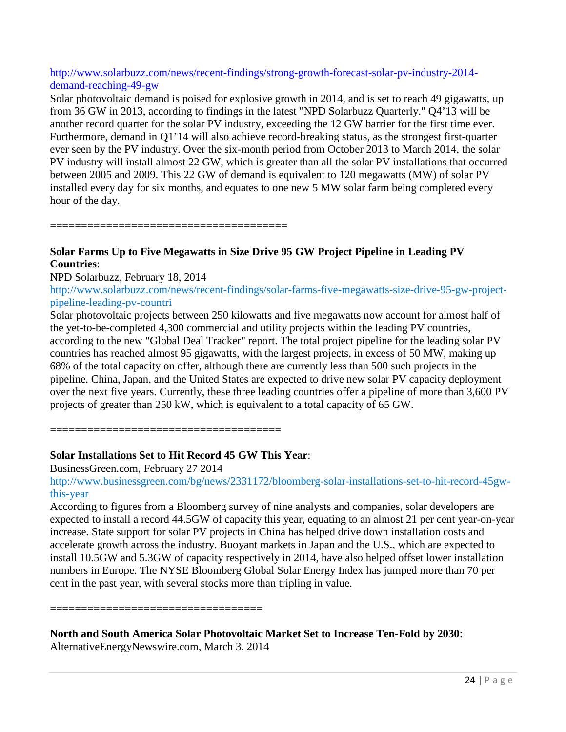### [http://www.solarbuzz.com/news/recent-findings/strong-growth-forecast-solar-pv-industry-2014](http://www.solarbuzz.com/news/recent-findings/strong-growth-forecast-solar-pv-industry-2014-demand-reaching-49-gw) [demand-reaching-49-gw](http://www.solarbuzz.com/news/recent-findings/strong-growth-forecast-solar-pv-industry-2014-demand-reaching-49-gw)

Solar photovoltaic demand is poised for explosive growth in 2014, and is set to reach 49 gigawatts, up from 36 GW in 2013, according to findings in the latest "NPD Solarbuzz Quarterly." Q4'13 will be another record quarter for the solar PV industry, exceeding the 12 GW barrier for the first time ever. Furthermore, demand in Q1'14 will also achieve record-breaking status, as the strongest first-quarter ever seen by the PV industry. Over the six-month period from October 2013 to March 2014, the solar PV industry will install almost 22 GW, which is greater than all the solar PV installations that occurred between 2005 and 2009. This 22 GW of demand is equivalent to 120 megawatts (MW) of solar PV installed every day for six months, and equates to one new 5 MW solar farm being completed every hour of the day.

======================================

### **Solar Farms Up to Five Megawatts in Size Drive 95 GW Project Pipeline in Leading PV Countries**:

### NPD Solarbuzz, February 18, 2014

[http://www.solarbuzz.com/news/recent-findings/solar-farms-five-megawatts-size-drive-95-gw-project](http://www.solarbuzz.com/news/recent-findings/solar-farms-five-megawatts-size-drive-95-gw-project-pipeline-leading-pv-countri)[pipeline-leading-pv-countri](http://www.solarbuzz.com/news/recent-findings/solar-farms-five-megawatts-size-drive-95-gw-project-pipeline-leading-pv-countri)

Solar photovoltaic projects between 250 kilowatts and five megawatts now account for almost half of the yet-to-be-completed 4,300 commercial and utility projects within the leading PV countries, according to the new "Global Deal Tracker" report. The total project pipeline for the leading solar PV countries has reached almost 95 gigawatts, with the largest projects, in excess of 50 MW, making up 68% of the total capacity on offer, although there are currently less than 500 such projects in the pipeline. China, Japan, and the United States are expected to drive new solar PV capacity deployment over the next five years. Currently, these three leading countries offer a pipeline of more than 3,600 PV projects of greater than 250 kW, which is equivalent to a total capacity of 65 GW.

======================================

### **Solar Installations Set to Hit Record 45 GW This Year**:

BusinessGreen.com, February 27 2014

[http://www.businessgreen.com/bg/news/2331172/bloomberg-solar-installations-set-to-hit-record-45gw](http://www.businessgreen.com/bg/news/2331172/bloomberg-solar-installations-set-to-hit-record-45gw-this-year)[this-year](http://www.businessgreen.com/bg/news/2331172/bloomberg-solar-installations-set-to-hit-record-45gw-this-year)

According to figures from a Bloomberg survey of nine analysts and companies, solar developers are expected to install a record 44.5GW of capacity this year, equating to an almost 21 per cent year-on-year increase. State support for solar PV projects in China has helped drive down installation costs and accelerate growth across the industry. Buoyant markets in Japan and the U.S., which are expected to install 10.5GW and 5.3GW of capacity respectively in 2014, have also helped offset lower installation numbers in Europe. The NYSE Bloomberg Global Solar Energy Index has jumped more than 70 per cent in the past year, with several stocks more than tripling in value.

================================

# **North and South America Solar Photovoltaic Market Set to Increase Ten-Fold by 2030**:

AlternativeEnergyNewswire.com, March 3, 2014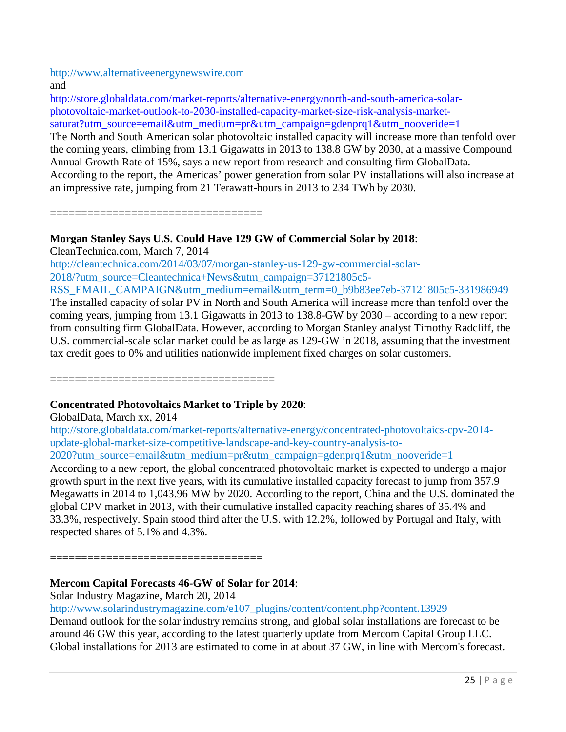[http://www.alternativeenergynewswire.com](http://www.alternativeenergynewswire.com/)

and

[http://store.globaldata.com/market-reports/alternative-energy/north-and-south-america-solar](http://store.globaldata.com/market-reports/alternative-energy/north-and-south-america-solar-photovoltaic-market-outlook-to-2030-installed-capacity-market-size-risk-analysis-market-saturat?utm_source=email&utm_medium=pr&utm_campaign=gdenprq1&utm_nooveride=1)[photovoltaic-market-outlook-to-2030-installed-capacity-market-size-risk-analysis-market](http://store.globaldata.com/market-reports/alternative-energy/north-and-south-america-solar-photovoltaic-market-outlook-to-2030-installed-capacity-market-size-risk-analysis-market-saturat?utm_source=email&utm_medium=pr&utm_campaign=gdenprq1&utm_nooveride=1)[saturat?utm\\_source=email&utm\\_medium=pr&utm\\_campaign=gdenprq1&utm\\_nooveride=1](http://store.globaldata.com/market-reports/alternative-energy/north-and-south-america-solar-photovoltaic-market-outlook-to-2030-installed-capacity-market-size-risk-analysis-market-saturat?utm_source=email&utm_medium=pr&utm_campaign=gdenprq1&utm_nooveride=1)

The North and South American solar photovoltaic installed capacity will increase more than tenfold over the coming years, climbing from 13.1 Gigawatts in 2013 to 138.8 GW by 2030, at a massive Compound Annual Growth Rate of 15%, says a new report from research and consulting firm GlobalData. According to the report, the Americas' power generation from solar PV installations will also increase at an impressive rate, jumping from 21 Terawatt-hours in 2013 to 234 TWh by 2030.

==================================

# **Morgan Stanley Says U.S. Could Have 129 GW of Commercial Solar by 2018**:

CleanTechnica.com, March 7, 2014

[http://cleantechnica.com/2014/03/07/morgan-stanley-us-129-gw-commercial-solar-](http://cleantechnica.com/2014/03/07/morgan-stanley-us-129-gw-commercial-solar-2018/?utm_source=Cleantechnica+News&utm_campaign=37121805c5-RSS_EMAIL_CAMPAIGN&utm_medium=email&utm_term=0_b9b83ee7eb-37121805c5-331986949)[2018/?utm\\_source=Cleantechnica+News&utm\\_campaign=37121805c5-](http://cleantechnica.com/2014/03/07/morgan-stanley-us-129-gw-commercial-solar-2018/?utm_source=Cleantechnica+News&utm_campaign=37121805c5-RSS_EMAIL_CAMPAIGN&utm_medium=email&utm_term=0_b9b83ee7eb-37121805c5-331986949)

[RSS\\_EMAIL\\_CAMPAIGN&utm\\_medium=email&utm\\_term=0\\_b9b83ee7eb-37121805c5-331986949](http://cleantechnica.com/2014/03/07/morgan-stanley-us-129-gw-commercial-solar-2018/?utm_source=Cleantechnica+News&utm_campaign=37121805c5-RSS_EMAIL_CAMPAIGN&utm_medium=email&utm_term=0_b9b83ee7eb-37121805c5-331986949)

The installed capacity of solar PV in North and South America will increase more than tenfold over the coming years, jumping from 13.1 Gigawatts in 2013 to 138.8-GW by 2030 – according to a new report from consulting firm GlobalData. However, according to Morgan Stanley analyst Timothy Radcliff, the U.S. commercial-scale solar market could be as large as 129-GW in 2018, assuming that the investment tax credit goes to 0% and utilities nationwide implement fixed charges on solar customers.

============================

# **Concentrated Photovoltaics Market to Triple by 2020**:

GlobalData, March xx, 2014

[http://store.globaldata.com/market-reports/alternative-energy/concentrated-photovoltaics-cpv-2014](http://store.globaldata.com/market-reports/alternative-energy/concentrated-photovoltaics-cpv-2014-update-global-market-size-competitive-landscape-and-key-country-analysis-to-2020?utm_source=email&utm_medium=pr&utm_campaign=gdenprq1&utm_nooveride=1) [update-global-market-size-competitive-landscape-and-key-country-analysis-to-](http://store.globaldata.com/market-reports/alternative-energy/concentrated-photovoltaics-cpv-2014-update-global-market-size-competitive-landscape-and-key-country-analysis-to-2020?utm_source=email&utm_medium=pr&utm_campaign=gdenprq1&utm_nooveride=1)

[2020?utm\\_source=email&utm\\_medium=pr&utm\\_campaign=gdenprq1&utm\\_nooveride=1](http://store.globaldata.com/market-reports/alternative-energy/concentrated-photovoltaics-cpv-2014-update-global-market-size-competitive-landscape-and-key-country-analysis-to-2020?utm_source=email&utm_medium=pr&utm_campaign=gdenprq1&utm_nooveride=1)

According to a new report, the global concentrated photovoltaic market is expected to undergo a major growth spurt in the next five years, with its cumulative installed capacity forecast to jump from 357.9 Megawatts in 2014 to 1,043.96 MW by 2020. According to the report, China and the U.S. dominated the global CPV market in 2013, with their cumulative installed capacity reaching shares of 35.4% and 33.3%, respectively. Spain stood third after the U.S. with 12.2%, followed by Portugal and Italy, with respected shares of 5.1% and 4.3%.

==================================

# **Mercom Capital Forecasts 46-GW of Solar for 2014**:

Solar Industry Magazine, March 20, 2014

# [http://www.solarindustrymagazine.com/e107\\_plugins/content/content.php?content.13929](http://www.solarindustrymagazine.com/e107_plugins/content/content.php?content.13929)

Demand outlook for the solar industry remains strong, and global solar installations are forecast to be around 46 GW this year, according to the latest quarterly update from Mercom Capital Group LLC. Global installations for 2013 are estimated to come in at about 37 GW, in line with Mercom's forecast.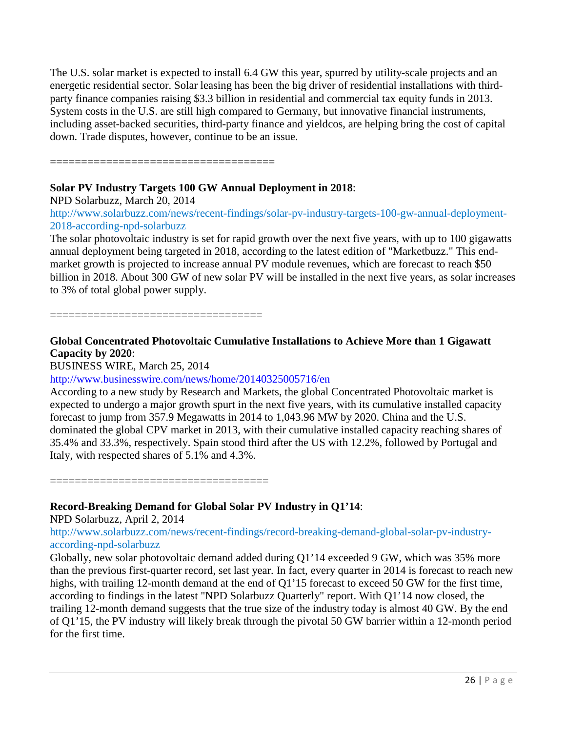The U.S. solar market is expected to install 6.4 GW this year, spurred by utility-scale projects and an energetic residential sector. Solar leasing has been the big driver of residential installations with thirdparty finance companies raising \$3.3 billion in residential and commercial tax equity funds in 2013. System costs in the U.S. are still high compared to Germany, but innovative financial instruments, including asset-backed securities, third-party finance and yieldcos, are helping bring the cost of capital down. Trade disputes, however, continue to be an issue.

====================================

### **Solar PV Industry Targets 100 GW Annual Deployment in 2018**:

NPD Solarbuzz, March 20, 2014

[http://www.solarbuzz.com/news/recent-findings/solar-pv-industry-targets-100-gw-annual-deployment-](http://www.solarbuzz.com/news/recent-findings/solar-pv-industry-targets-100-gw-annual-deployment-2018-according-npd-solarbuzz)[2018-according-npd-solarbuzz](http://www.solarbuzz.com/news/recent-findings/solar-pv-industry-targets-100-gw-annual-deployment-2018-according-npd-solarbuzz)

The solar photovoltaic industry is set for rapid growth over the next five years, with up to 100 gigawatts annual deployment being targeted in 2018, according to the latest edition of "Marketbuzz." This endmarket growth is projected to increase annual PV module revenues, which are forecast to reach \$50 billion in 2018. About 300 GW of new solar PV will be installed in the next five years, as solar increases to 3% of total global power supply.

==================================

# **Global Concentrated Photovoltaic Cumulative Installations to Achieve More than 1 Gigawatt Capacity by 2020**:

BUSINESS WIRE, March 25, 2014

### <http://www.businesswire.com/news/home/20140325005716/en>

According to a new study by Research and Markets, the global Concentrated Photovoltaic market is expected to undergo a major growth spurt in the next five years, with its cumulative installed capacity forecast to jump from 357.9 Megawatts in 2014 to 1,043.96 MW by 2020. China and the U.S. dominated the global CPV market in 2013, with their cumulative installed capacity reaching shares of 35.4% and 33.3%, respectively. Spain stood third after the US with 12.2%, followed by Portugal and Italy, with respected shares of 5.1% and 4.3%.

===================================

# **Record-Breaking Demand for Global Solar PV Industry in Q1'14**:

NPD Solarbuzz, April 2, 2014

[http://www.solarbuzz.com/news/recent-findings/record-breaking-demand-global-solar-pv-industry](http://www.solarbuzz.com/news/recent-findings/record-breaking-demand-global-solar-pv-industry-according-npd-solarbuzz)[according-npd-solarbuzz](http://www.solarbuzz.com/news/recent-findings/record-breaking-demand-global-solar-pv-industry-according-npd-solarbuzz)

Globally, new solar photovoltaic demand added during Q1'14 exceeded 9 GW, which was 35% more than the previous first-quarter record, set last year. In fact, every quarter in 2014 is forecast to reach new highs, with trailing 12-month demand at the end of Q1'15 forecast to exceed 50 GW for the first time, according to findings in the latest "NPD Solarbuzz Quarterly" report. With Q1'14 now closed, the trailing 12-month demand suggests that the true size of the industry today is almost 40 GW. By the end of Q1'15, the PV industry will likely break through the pivotal 50 GW barrier within a 12-month period for the first time.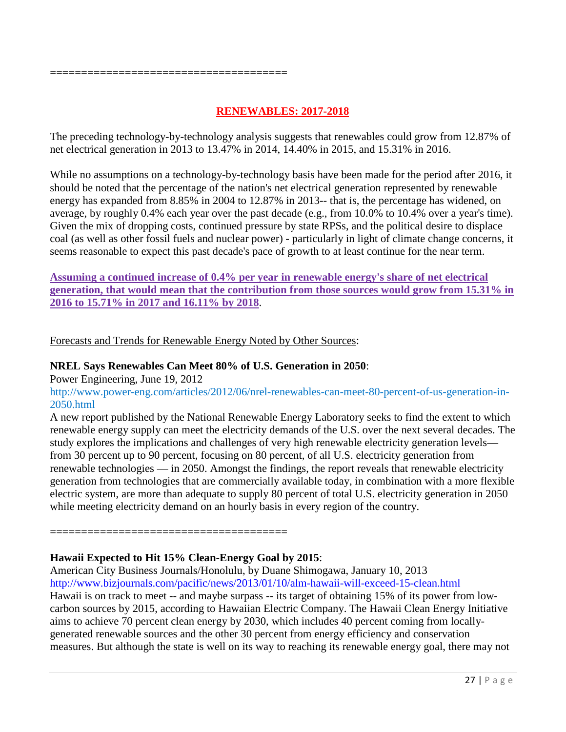======================================

# **RENEWABLES: 2017-2018**

The preceding technology-by-technology analysis suggests that renewables could grow from 12.87% of net electrical generation in 2013 to 13.47% in 2014, 14.40% in 2015, and 15.31% in 2016.

While no assumptions on a technology-by-technology basis have been made for the period after 2016, it should be noted that the percentage of the nation's net electrical generation represented by renewable energy has expanded from 8.85% in 2004 to 12.87% in 2013-- that is, the percentage has widened, on average, by roughly 0.4% each year over the past decade (e.g., from 10.0% to 10.4% over a year's time). Given the mix of dropping costs, continued pressure by state RPSs, and the political desire to displace coal (as well as other fossil fuels and nuclear power) - particularly in light of climate change concerns, it seems reasonable to expect this past decade's pace of growth to at least continue for the near term.

**Assuming a continued increase of 0.4% per year in renewable energy's share of net electrical generation, that would mean that the contribution from those sources would grow from 15.31% in 2016 to 15.71% in 2017 and 16.11% by 2018**.

Forecasts and Trends for Renewable Energy Noted by Other Sources:

### **NREL Says Renewables Can Meet 80% of U.S. Generation in 2050**:

Power Engineering, June 19, 2012

[http://www.power-eng.com/articles/2012/06/nrel-renewables-can-meet-80-percent-of-us-generation-in-](http://www.power-eng.com/articles/2012/06/nrel-renewables-can-meet-80-percent-of-us-generation-in-2050.html)[2050.html](http://www.power-eng.com/articles/2012/06/nrel-renewables-can-meet-80-percent-of-us-generation-in-2050.html)

A new report published by the National Renewable Energy Laboratory seeks to find the extent to which renewable energy supply can meet the electricity demands of the U.S. over the next several decades. The study explores the implications and challenges of very high renewable electricity generation levels from 30 percent up to 90 percent, focusing on 80 percent, of all U.S. electricity generation from renewable technologies — in 2050. Amongst the findings, the report reveals that renewable electricity generation from technologies that are commercially available today, in combination with a more flexible electric system, are more than adequate to supply 80 percent of total U.S. electricity generation in 2050 while meeting electricity demand on an hourly basis in every region of the country.

======================================

### **Hawaii Expected to Hit 15% Clean-Energy Goal by 2015**:

American City Business Journals/Honolulu, by Duane Shimogawa, January 10, 2013 <http://www.bizjournals.com/pacific/news/2013/01/10/alm-hawaii-will-exceed-15-clean.html> Hawaii is on track to meet -- and maybe surpass -- its target of obtaining 15% of its power from lowcarbon sources by 2015, according to Hawaiian Electric Company. The Hawaii Clean Energy Initiative aims to achieve 70 percent clean energy by 2030, which includes 40 percent coming from locallygenerated renewable sources and the other 30 percent from energy efficiency and conservation measures. But although the state is well on its way to reaching its renewable energy goal, there may not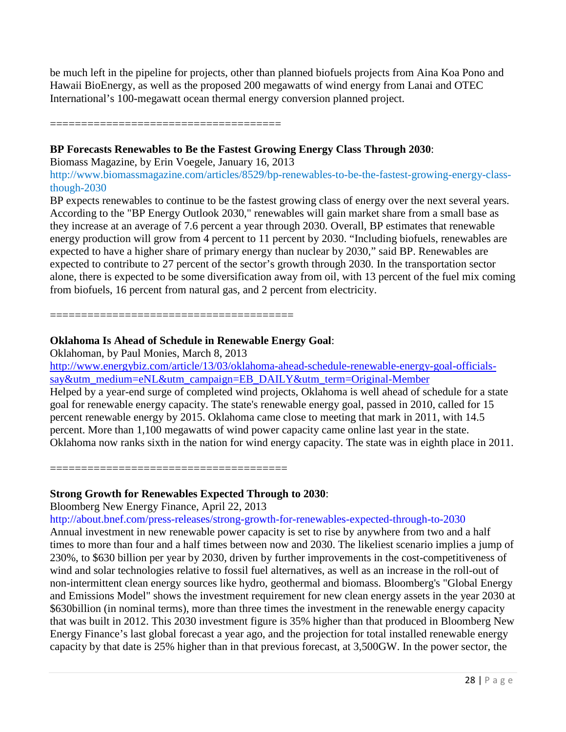be much left in the pipeline for projects, other than planned biofuels projects from Aina Koa Pono and Hawaii BioEnergy, as well as the proposed 200 megawatts of wind energy from Lanai and OTEC International's 100-megawatt ocean thermal energy conversion planned project.

=====================================

# **BP Forecasts Renewables to Be the Fastest Growing Energy Class Through 2030**:

Biomass Magazine, by Erin Voegele, January 16, 2013

[http://www.biomassmagazine.com/articles/8529/bp-renewables-to-be-the-fastest-growing-energy-class](http://www.biomassmagazine.com/articles/8529/bp-renewables-to-be-the-fastest-growing-energy-class-though-2030)[though-2030](http://www.biomassmagazine.com/articles/8529/bp-renewables-to-be-the-fastest-growing-energy-class-though-2030)

BP expects renewables to continue to be the fastest growing class of energy over the next several years. According to the "BP Energy Outlook 2030," renewables will gain market share from a small base as they increase at an average of 7.6 percent a year through 2030. Overall, BP estimates that renewable energy production will grow from 4 percent to 11 percent by 2030. "Including biofuels, renewables are expected to have a higher share of primary energy than nuclear by 2030," said BP. Renewables are expected to contribute to 27 percent of the sector's growth through 2030. In the transportation sector alone, there is expected to be some diversification away from oil, with 13 percent of the fuel mix coming from biofuels, 16 percent from natural gas, and 2 percent from electricity.

=======================================

# **Oklahoma Is Ahead of Schedule in Renewable Energy Goal**:

Oklahoman, by Paul Monies, March 8, 2013

[http://www.energybiz.com/article/13/03/oklahoma-ahead-schedule-renewable-energy-goal-officials](http://www.energybiz.com/article/13/03/oklahoma-ahead-schedule-renewable-energy-goal-officials-say&utm_medium=eNL&utm_campaign=EB_DAILY&utm_term=Original-Member)[say&utm\\_medium=eNL&utm\\_campaign=EB\\_DAILY&utm\\_term=Original-Member](http://www.energybiz.com/article/13/03/oklahoma-ahead-schedule-renewable-energy-goal-officials-say&utm_medium=eNL&utm_campaign=EB_DAILY&utm_term=Original-Member) Helped by a year-end surge of completed wind projects, Oklahoma is well ahead of schedule for a state goal for renewable energy capacity. The state's renewable energy goal, passed in 2010, called for 15 percent renewable energy by 2015. Oklahoma came close to meeting that mark in 2011, with 14.5 percent. More than 1,100 megawatts of wind power capacity came online last year in the state. Oklahoma now ranks sixth in the nation for wind energy capacity. The state was in eighth place in 2011.

======================================

### **Strong Growth for Renewables Expected Through to 2030**:

Bloomberg New Energy Finance, April 22, 2013

<http://about.bnef.com/press-releases/strong-growth-for-renewables-expected-through-to-2030>

Annual investment in new renewable power capacity is set to rise by anywhere from two and a half times to more than four and a half times between now and 2030. The likeliest scenario implies a jump of 230%, to \$630 billion per year by 2030, driven by further improvements in the cost-competitiveness of wind and solar technologies relative to fossil fuel alternatives, as well as an increase in the roll-out of non-intermittent clean energy sources like hydro, geothermal and biomass. Bloomberg's "Global Energy and Emissions Model" shows the investment requirement for new clean energy assets in the year 2030 at \$630billion (in nominal terms), more than three times the investment in the renewable energy capacity that was built in 2012. This 2030 investment figure is 35% higher than that produced in Bloomberg New Energy Finance's last global forecast a year ago, and the projection for total installed renewable energy capacity by that date is 25% higher than in that previous forecast, at 3,500GW. In the power sector, the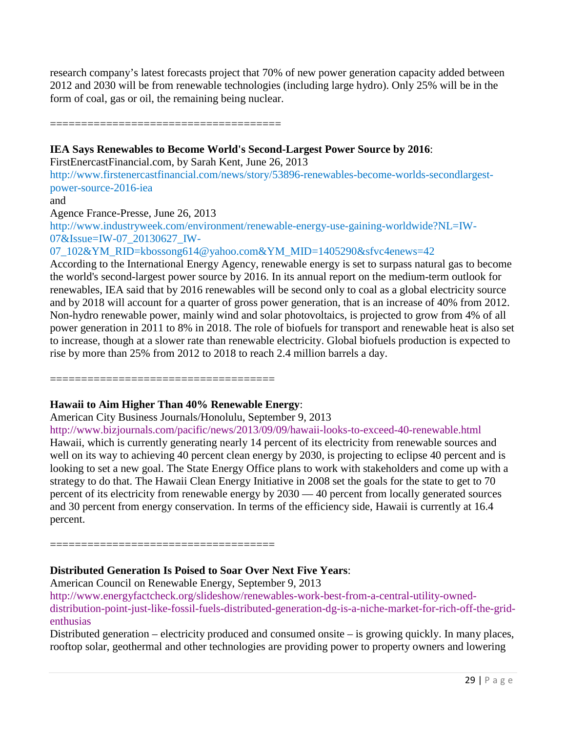research company's latest forecasts project that 70% of new power generation capacity added between 2012 and 2030 will be from renewable technologies (including large hydro). Only 25% will be in the form of coal, gas or oil, the remaining being nuclear.

### =====================================

### **IEA Says Renewables to Become World's Second-Largest Power Source by 2016**:

FirstEnercastFinancial.com, by Sarah Kent, June 26, 2013

[http://www.firstenercastfinancial.com/news/story/53896-renewables-become-worlds-secondlargest](http://www.firstenercastfinancial.com/news/story/53896-renewables-become-worlds-secondlargest-power-source-2016-iea)[power-source-2016-iea](http://www.firstenercastfinancial.com/news/story/53896-renewables-become-worlds-secondlargest-power-source-2016-iea)

and

Agence France-Presse, June 26, 2013

[http://www.industryweek.com/environment/renewable-energy-use-gaining-worldwide?NL=IW-](http://www.industryweek.com/environment/renewable-energy-use-gaining-worldwide?NL=IW-07&Issue=IW-07_20130627_IW-07_102&YM_RID=kbossong614%40yahoo.com&YM_MID=1405290&sfvc4enews=42)[07&Issue=IW-07\\_20130627\\_IW-](http://www.industryweek.com/environment/renewable-energy-use-gaining-worldwide?NL=IW-07&Issue=IW-07_20130627_IW-07_102&YM_RID=kbossong614%40yahoo.com&YM_MID=1405290&sfvc4enews=42)

[07\\_102&YM\\_RID=kbossong614@yahoo.com&YM\\_MID=1405290&sfvc4enews=42](http://www.industryweek.com/environment/renewable-energy-use-gaining-worldwide?NL=IW-07&Issue=IW-07_20130627_IW-07_102&YM_RID=kbossong614%40yahoo.com&YM_MID=1405290&sfvc4enews=42)

According to the International Energy Agency, renewable energy is set to surpass natural gas to become the world's second-largest power source by 2016. In its annual report on the medium-term outlook for renewables, IEA said that by 2016 renewables will be second only to coal as a global electricity source and by 2018 will account for a quarter of gross power generation, that is an increase of 40% from 2012. Non-hydro renewable power, mainly wind and solar photovoltaics, is projected to grow from 4% of all power generation in 2011 to 8% in 2018. The role of biofuels for transport and renewable heat is also set to increase, though at a slower rate than renewable electricity. Global biofuels production is expected to rise by more than 25% from 2012 to 2018 to reach 2.4 million barrels a day.

====================================

### **Hawaii to Aim Higher Than 40% Renewable Energy**:

American City Business Journals/Honolulu, September 9, 2013

<http://www.bizjournals.com/pacific/news/2013/09/09/hawaii-looks-to-exceed-40-renewable.html> Hawaii, which is currently generating nearly 14 percent of its electricity from renewable sources and well on its way to achieving 40 percent clean energy by 2030, is projecting to eclipse 40 percent and is looking to set a new goal. The State Energy Office plans to work with stakeholders and come up with a strategy to do that. The Hawaii Clean Energy Initiative in 2008 set the goals for the state to get to 70 percent of its electricity from renewable energy by 2030 — 40 percent from locally generated sources and 30 percent from energy conservation. In terms of the efficiency side, Hawaii is currently at 16.4 percent.

====================================

### **Distributed Generation Is Poised to Soar Over Next Five Years**:

American Council on Renewable Energy, September 9, 2013

[http://www.energyfactcheck.org/slideshow/renewables-work-best-from-a-central-utility-owned](http://www.energyfactcheck.org/slideshow/renewables-work-best-from-a-central-utility-owned-distribution-point-just-like-fossil-fuels-distributed-generation-dg-is-a-niche-market-for-rich-off-the-grid-enthusias)[distribution-point-just-like-fossil-fuels-distributed-generation-dg-is-a-niche-market-for-rich-off-the-grid](http://www.energyfactcheck.org/slideshow/renewables-work-best-from-a-central-utility-owned-distribution-point-just-like-fossil-fuels-distributed-generation-dg-is-a-niche-market-for-rich-off-the-grid-enthusias)[enthusias](http://www.energyfactcheck.org/slideshow/renewables-work-best-from-a-central-utility-owned-distribution-point-just-like-fossil-fuels-distributed-generation-dg-is-a-niche-market-for-rich-off-the-grid-enthusias)

Distributed generation – electricity produced and consumed onsite – is growing quickly. In many places, rooftop solar, geothermal and other technologies are providing power to property owners and lowering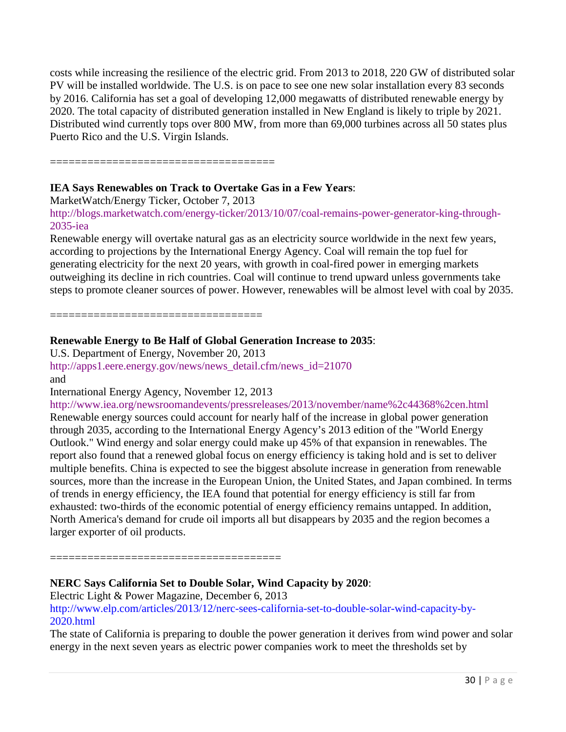costs while increasing the resilience of the electric grid. From 2013 to 2018, 220 GW of distributed solar PV will be installed worldwide. The U.S. is on pace to see one new solar installation every 83 seconds by 2016. California has set a goal of developing 12,000 megawatts of distributed renewable energy by 2020. The total capacity of distributed generation installed in New England is likely to triple by 2021. Distributed wind currently tops over 800 MW, from more than 69,000 turbines across all 50 states plus Puerto Rico and the U.S. Virgin Islands.

====================================

# **IEA Says Renewables on Track to Overtake Gas in a Few Years**:

MarketWatch/Energy Ticker, October 7, 2013

[http://blogs.marketwatch.com/energy-ticker/2013/10/07/coal-remains-power-generator-king-through-](http://blogs.marketwatch.com/energy-ticker/2013/10/07/coal-remains-power-generator-king-through-2035-iea)[2035-iea](http://blogs.marketwatch.com/energy-ticker/2013/10/07/coal-remains-power-generator-king-through-2035-iea)

Renewable energy will overtake natural gas as an electricity source worldwide in the next few years, according to projections by the International Energy Agency. Coal will remain the top fuel for generating electricity for the next 20 years, with growth in coal-fired power in emerging markets outweighing its decline in rich countries. Coal will continue to trend upward unless governments take steps to promote cleaner sources of power. However, renewables will be almost level with coal by 2035.

==================================

# **Renewable Energy to Be Half of Global Generation Increase to 2035**:

U.S. Department of Energy, November 20, 2013 [http://apps1.eere.energy.gov/news/news\\_detail.cfm/news\\_id=21070](http://apps1.eere.energy.gov/news/news_detail.cfm/news_id=21070) and

International Energy Agency, November 12, 2013

<http://www.iea.org/newsroomandevents/pressreleases/2013/november/name%2c44368%2cen.html> Renewable energy sources could account for nearly half of the increase in global power generation through 2035, according to the International Energy Agency's 2013 edition of the "World Energy Outlook." Wind energy and solar energy could make up 45% of that expansion in renewables. The report also found that a renewed global focus on energy efficiency is taking hold and is set to deliver multiple benefits. China is expected to see the biggest absolute increase in generation from renewable sources, more than the increase in the European Union, the United States, and Japan combined. In terms of trends in energy efficiency, the IEA found that potential for energy efficiency is still far from exhausted: two-thirds of the economic potential of energy efficiency remains untapped. In addition, North America's demand for crude oil imports all but disappears by 2035 and the region becomes a larger exporter of oil products.

=====================================

# **NERC Says California Set to Double Solar, Wind Capacity by 2020**:

Electric Light & Power Magazine, December 6, 2013 [http://www.elp.com/articles/2013/12/nerc-sees-california-set-to-double-solar-wind-capacity-by-](http://www.elp.com/articles/2013/12/nerc-sees-california-set-to-double-solar-wind-capacity-by-2020.html)[2020.html](http://www.elp.com/articles/2013/12/nerc-sees-california-set-to-double-solar-wind-capacity-by-2020.html)

The state of California is preparing to double the power generation it derives from wind power and solar energy in the next seven years as electric power companies work to meet the thresholds set by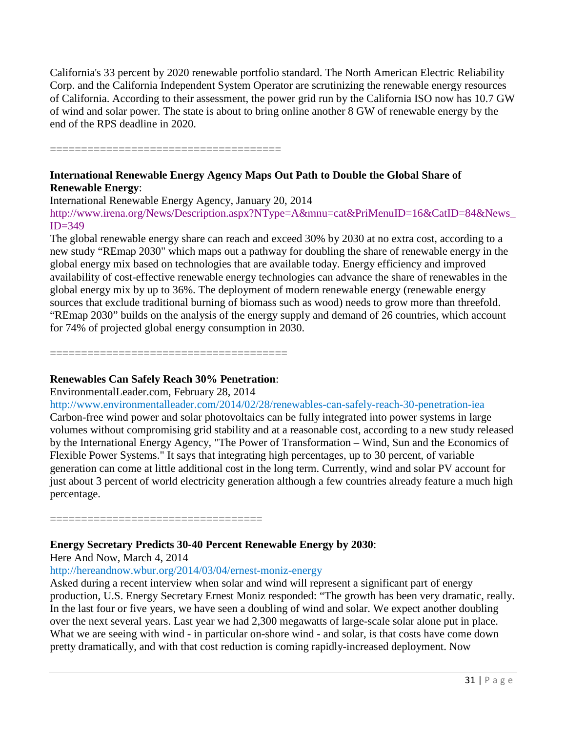California's 33 percent by 2020 renewable portfolio standard. The North American Electric Reliability Corp. and the California Independent System Operator are scrutinizing the renewable energy resources of California. According to their assessment, the power grid run by the California ISO now has 10.7 GW of wind and solar power. The state is about to bring online another 8 GW of renewable energy by the end of the RPS deadline in 2020.

========================

### **International Renewable Energy Agency Maps Out Path to Double the Global Share of Renewable Energy**:

International Renewable Energy Agency, January 20, 2014

[http://www.irena.org/News/Description.aspx?NType=A&mnu=cat&PriMenuID=16&CatID=84&News\\_](http://www.irena.org/News/Description.aspx?NType=A&mnu=cat&PriMenuID=16&CatID=84&News_ID=349)  $ID = 349$ 

The global renewable energy share can reach and exceed 30% by 2030 at no extra cost, according to a new study "REmap 2030" which maps out a pathway for doubling the share of renewable energy in the global energy mix based on technologies that are available today. Energy efficiency and improved availability of cost-effective renewable energy technologies can advance the share of renewables in the global energy mix by up to 36%. The deployment of modern renewable energy (renewable energy sources that exclude traditional burning of biomass such as wood) needs to grow more than threefold. "REmap 2030" builds on the analysis of the energy supply and demand of 26 countries, which account for 74% of projected global energy consumption in 2030.

======================================

# **Renewables Can Safely Reach 30% Penetration**:

EnvironmentalLeader.com, February 28, 2014

<http://www.environmentalleader.com/2014/02/28/renewables-can-safely-reach-30-penetration-iea> Carbon-free wind power and solar photovoltaics can be fully integrated into power systems in large volumes without compromising grid stability and at a reasonable cost, according to a new study released by the International Energy Agency, "The Power of Transformation – Wind, Sun and the Economics of Flexible Power Systems." It says that integrating high percentages, up to 30 percent, of variable generation can come at little additional cost in the long term. Currently, wind and solar PV account for just about 3 percent of world electricity generation although a few countries already feature a much high percentage.

==================================

# **Energy Secretary Predicts 30-40 Percent Renewable Energy by 2030**:

Here And Now, March 4, 2014

<http://hereandnow.wbur.org/2014/03/04/ernest-moniz-energy>

Asked during a recent interview when solar and wind will represent a significant part of energy production, U.S. Energy Secretary Ernest Moniz responded: "The growth has been very dramatic, really. In the last four or five years, we have seen a doubling of wind and solar. We expect another doubling over the next several years. Last year we had 2,300 megawatts of large-scale solar alone put in place. What we are seeing with wind - in particular on-shore wind - and solar, is that costs have come down pretty dramatically, and with that cost reduction is coming rapidly-increased deployment. Now